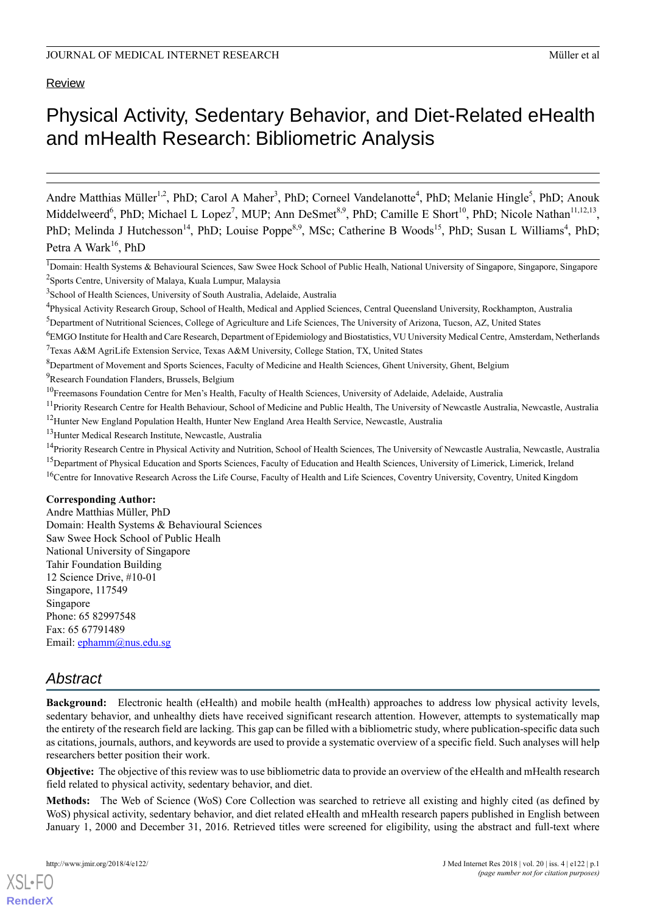# Physical Activity, Sedentary Behavior, and Diet-Related eHealth and mHealth Research: Bibliometric Analysis

Andre Matthias Müller<sup>1,2</sup>, PhD; Carol A Maher<sup>3</sup>, PhD; Corneel Vandelanotte<sup>4</sup>, PhD; Melanie Hingle<sup>5</sup>, PhD; Anouk Middelweerd<sup>6</sup>, PhD; Michael L Lopez<sup>7</sup>, MUP; Ann DeSmet<sup>8,9</sup>, PhD; Camille E Short<sup>10</sup>, PhD; Nicole Nathan<sup>11,12,13</sup>, PhD; Melinda J Hutchesson<sup>14</sup>, PhD; Louise Poppe<sup>8,9</sup>, MSc; Catherine B Woods<sup>15</sup>, PhD; Susan L Williams<sup>4</sup>, PhD; Petra A Wark<sup>16</sup>, PhD

<sup>3</sup>School of Health Sciences, University of South Australia, Adelaide, Australia

<sup>5</sup>Department of Nutritional Sciences, College of Agriculture and Life Sciences, The University of Arizona, Tucson, AZ, United States

<sup>7</sup>Texas A&M AgriLife Extension Service, Texas A&M University, College Station, TX, United States

<sup>10</sup>Freemasons Foundation Centre for Men's Health, Faculty of Health Sciences, University of Adelaide, Adelaide, Australia

<sup>11</sup> Priority Research Centre for Health Behaviour, School of Medicine and Public Health, The University of Newcastle Australia, Newcastle, Australia <sup>12</sup>Hunter New England Population Health, Hunter New England Area Health Service, Newcastle, Australia

<sup>13</sup>Hunter Medical Research Institute, Newcastle, Australia

#### **Corresponding Author:**

Andre Matthias Müller, PhD Domain: Health Systems & Behavioural Sciences Saw Swee Hock School of Public Healh National University of Singapore Tahir Foundation Building 12 Science Drive, #10-01 Singapore, 117549 Singapore Phone: 65 82997548 Fax: 65 67791489 Email: [ephamm@nus.edu.sg](mailto:ephamm@nus.edu.sg)

## *Abstract*

**Background:** Electronic health (eHealth) and mobile health (mHealth) approaches to address low physical activity levels, sedentary behavior, and unhealthy diets have received significant research attention. However, attempts to systematically map the entirety of the research field are lacking. This gap can be filled with a bibliometric study, where publication-specific data such as citations, journals, authors, and keywords are used to provide a systematic overview of a specific field. Such analyses will help researchers better position their work.

**Objective:** The objective of this review was to use bibliometric data to provide an overview of the eHealth and mHealth research field related to physical activity, sedentary behavior, and diet.

**Methods:** The Web of Science (WoS) Core Collection was searched to retrieve all existing and highly cited (as defined by WoS) physical activity, sedentary behavior, and diet related eHealth and mHealth research papers published in English between January 1, 2000 and December 31, 2016. Retrieved titles were screened for eligibility, using the abstract and full-text where

<sup>&</sup>lt;sup>1</sup>Domain: Health Systems & Behavioural Sciences, Saw Swee Hock School of Public Healh, National University of Singapore, Singapore, Singapore <sup>2</sup>Sports Centre, University of Malaya, Kuala Lumpur, Malaysia

<sup>&</sup>lt;sup>4</sup>Physical Activity Research Group, School of Health, Medical and Applied Sciences, Central Queensland University, Rockhampton, Australia

<sup>6</sup>EMGO Institute for Health and Care Research, Department of Epidemiology and Biostatistics, VU University Medical Centre, Amsterdam, Netherlands

 ${}^{8}$ Department of Movement and Sports Sciences, Faculty of Medicine and Health Sciences, Ghent University, Ghent, Belgium

<sup>&</sup>lt;sup>9</sup>Research Foundation Flanders, Brussels, Belgium

<sup>&</sup>lt;sup>14</sup>Priority Research Centre in Physical Activity and Nutrition, School of Health Sciences, The University of Newcastle Australia, Newcastle, Australia <sup>15</sup>Department of Physical Education and Sports Sciences, Faculty of Education and Health Sciences, University of Limerick, Limerick, Ireland <sup>16</sup>Centre for Innovative Research Across the Life Course, Faculty of Health and Life Sciences, Coventry University, Coventry, United Kingdom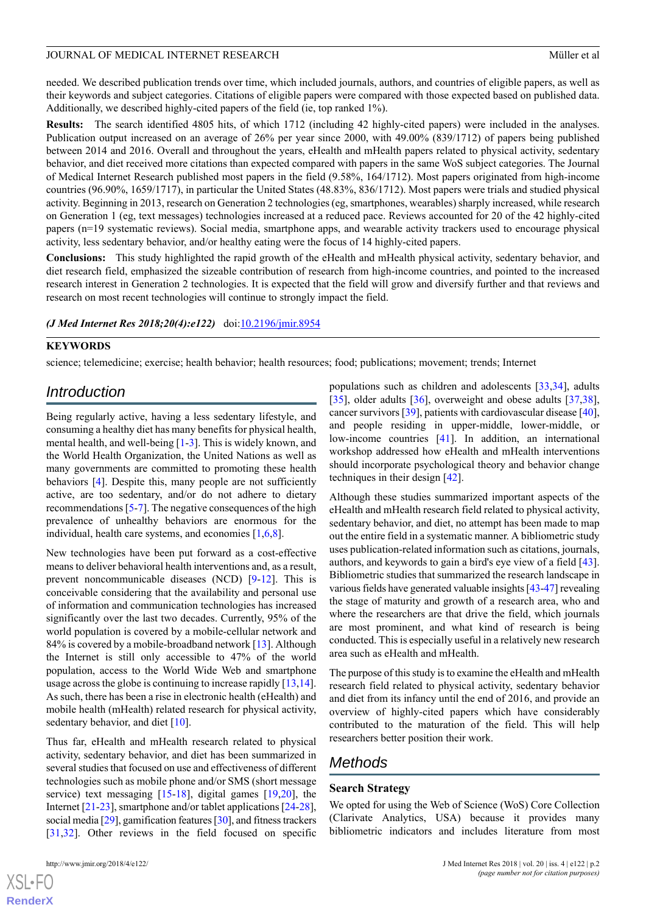needed. We described publication trends over time, which included journals, authors, and countries of eligible papers, as well as their keywords and subject categories. Citations of eligible papers were compared with those expected based on published data. Additionally, we described highly-cited papers of the field (ie, top ranked 1%).

**Results:** The search identified 4805 hits, of which 1712 (including 42 highly-cited papers) were included in the analyses. Publication output increased on an average of 26% per year since 2000, with 49.00% (839/1712) of papers being published between 2014 and 2016. Overall and throughout the years, eHealth and mHealth papers related to physical activity, sedentary behavior, and diet received more citations than expected compared with papers in the same WoS subject categories. The Journal of Medical Internet Research published most papers in the field (9.58%, 164/1712). Most papers originated from high-income countries (96.90%, 1659/1717), in particular the United States (48.83%, 836/1712). Most papers were trials and studied physical activity. Beginning in 2013, research on Generation 2 technologies (eg, smartphones, wearables) sharply increased, while research on Generation 1 (eg, text messages) technologies increased at a reduced pace. Reviews accounted for 20 of the 42 highly-cited papers (n=19 systematic reviews). Social media, smartphone apps, and wearable activity trackers used to encourage physical activity, less sedentary behavior, and/or healthy eating were the focus of 14 highly-cited papers.

**Conclusions:** This study highlighted the rapid growth of the eHealth and mHealth physical activity, sedentary behavior, and diet research field, emphasized the sizeable contribution of research from high-income countries, and pointed to the increased research interest in Generation 2 technologies. It is expected that the field will grow and diversify further and that reviews and research on most recent technologies will continue to strongly impact the field.

#### *(J Med Internet Res 2018;20(4):e122)* doi:*[10.2196/jmir.8954](http://dx.doi.org/10.2196/jmir.8954)*

#### **KEYWORDS**

science; telemedicine; exercise; health behavior; health resources; food; publications; movement; trends; Internet

## *Introduction*

Being regularly active, having a less sedentary lifestyle, and consuming a healthy diet has many benefits for physical health, mental health, and well-being [[1-](#page-13-0)[3](#page-13-1)]. This is widely known, and the World Health Organization, the United Nations as well as many governments are committed to promoting these health behaviors [\[4](#page-13-2)]. Despite this, many people are not sufficiently active, are too sedentary, and/or do not adhere to dietary recommendations [[5-](#page-13-3)[7](#page-13-4)]. The negative consequences of the high prevalence of unhealthy behaviors are enormous for the individual, health care systems, and economies [\[1](#page-13-0),[6,](#page-13-5)[8](#page-13-6)].

New technologies have been put forward as a cost-effective means to deliver behavioral health interventions and, as a result, prevent noncommunicable diseases (NCD) [\[9](#page-13-7)[-12](#page-13-8)]. This is conceivable considering that the availability and personal use of information and communication technologies has increased significantly over the last two decades. Currently, 95% of the world population is covered by a mobile-cellular network and 84% is covered by a mobile-broadband network [\[13](#page-13-9)]. Although the Internet is still only accessible to 47% of the world population, access to the World Wide Web and smartphone usage across the globe is continuing to increase rapidly [\[13](#page-13-9),[14\]](#page-13-10). As such, there has been a rise in electronic health (eHealth) and mobile health (mHealth) related research for physical activity, sedentary behavior, and diet [[10\]](#page-13-11).

Thus far, eHealth and mHealth research related to physical activity, sedentary behavior, and diet has been summarized in several studies that focused on use and effectiveness of different technologies such as mobile phone and/or SMS (short message service) text messaging [[15-](#page-13-12)[18](#page-13-13)], digital games [\[19](#page-13-14),[20\]](#page-13-15), the Internet [[21-](#page-13-16)[23\]](#page-14-0), smartphone and/or tablet applications [[24-](#page-14-1)[28\]](#page-14-2), social media [\[29\]](#page-14-3), gamification features [\[30](#page-14-4)], and fitness trackers [[31](#page-14-5)[,32](#page-14-6)]. Other reviews in the field focused on specific

 $XS$ -FO **[RenderX](http://www.renderx.com/)** populations such as children and adolescents [[33,](#page-14-7)[34](#page-14-8)], adults [[35\]](#page-14-9), older adults [\[36](#page-14-10)], overweight and obese adults [\[37](#page-14-11),[38\]](#page-14-12), cancer survivors [[39\]](#page-14-13), patients with cardiovascular disease [\[40\]](#page-14-14), and people residing in upper-middle, lower-middle, or low-income countries [\[41](#page-14-15)]. In addition, an international workshop addressed how eHealth and mHealth interventions should incorporate psychological theory and behavior change techniques in their design [[42\]](#page-15-0).

Although these studies summarized important aspects of the eHealth and mHealth research field related to physical activity, sedentary behavior, and diet, no attempt has been made to map out the entire field in a systematic manner. A bibliometric study uses publication-related information such as citations, journals, authors, and keywords to gain a bird's eye view of a field [[43\]](#page-15-1). Bibliometric studies that summarized the research landscape in various fields have generated valuable insights [\[43](#page-15-1)[-47](#page-15-2)] revealing the stage of maturity and growth of a research area, who and where the researchers are that drive the field, which journals are most prominent, and what kind of research is being conducted. This is especially useful in a relatively new research area such as eHealth and mHealth.

The purpose of this study is to examine the eHealth and mHealth research field related to physical activity, sedentary behavior and diet from its infancy until the end of 2016, and provide an overview of highly-cited papers which have considerably contributed to the maturation of the field. This will help researchers better position their work.

## *Methods*

#### **Search Strategy**

We opted for using the Web of Science (WoS) Core Collection (Clarivate Analytics, USA) because it provides many bibliometric indicators and includes literature from most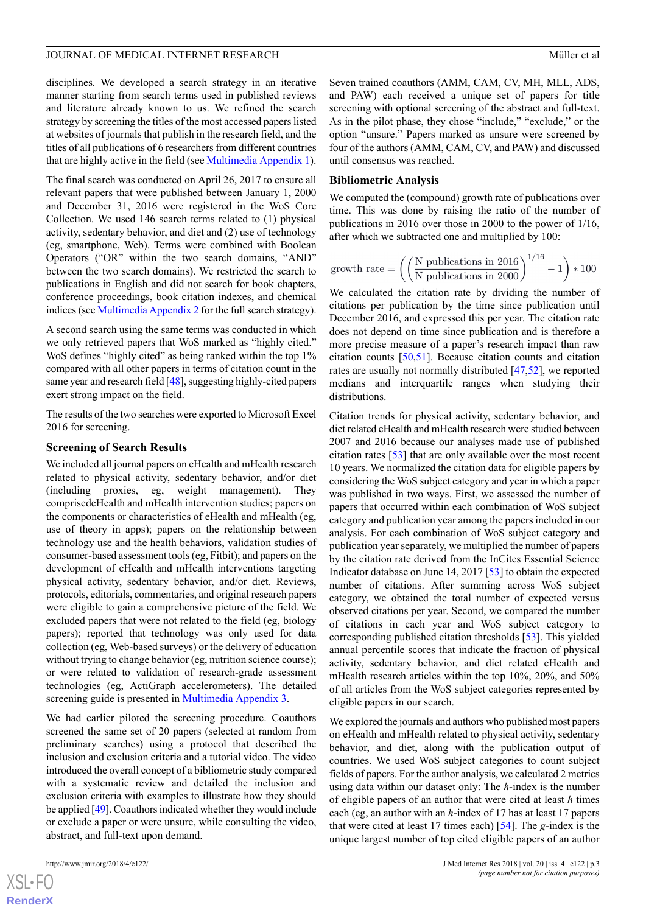disciplines. We developed a search strategy in an iterative manner starting from search terms used in published reviews and literature already known to us. We refined the search strategy by screening the titles of the most accessed papers listed at websites of journals that publish in the research field, and the titles of all publications of 6 researchers from different countries that are highly active in the field (see [Multimedia Appendix 1\)](#page-12-0).

The final search was conducted on April 26, 2017 to ensure all relevant papers that were published between January 1, 2000 and December 31, 2016 were registered in the WoS Core Collection. We used 146 search terms related to (1) physical activity, sedentary behavior, and diet and (2) use of technology (eg, smartphone, Web). Terms were combined with Boolean Operators ("OR" within the two search domains, "AND" between the two search domains). We restricted the search to publications in English and did not search for book chapters, conference proceedings, book citation indexes, and chemical indices (see [Multimedia Appendix 2](#page-12-1) for the full search strategy).

A second search using the same terms was conducted in which we only retrieved papers that WoS marked as "highly cited." WoS defines "highly cited" as being ranked within the top 1% compared with all other papers in terms of citation count in the same year and research field [\[48](#page-15-3)], suggesting highly-cited papers exert strong impact on the field.

The results of the two searches were exported to Microsoft Excel 2016 for screening.

#### **Screening of Search Results**

We included all journal papers on eHealth and mHealth research related to physical activity, sedentary behavior, and/or diet (including proxies, eg, weight management). They comprisedeHealth and mHealth intervention studies; papers on the components or characteristics of eHealth and mHealth (eg, use of theory in apps); papers on the relationship between technology use and the health behaviors, validation studies of consumer-based assessment tools (eg, Fitbit); and papers on the development of eHealth and mHealth interventions targeting physical activity, sedentary behavior, and/or diet. Reviews, protocols, editorials, commentaries, and original research papers were eligible to gain a comprehensive picture of the field. We excluded papers that were not related to the field (eg, biology papers); reported that technology was only used for data collection (eg, Web-based surveys) or the delivery of education without trying to change behavior (eg, nutrition science course); or were related to validation of research-grade assessment technologies (eg, ActiGraph accelerometers). The detailed screening guide is presented in [Multimedia Appendix 3](#page-12-2).

We had earlier piloted the screening procedure. Coauthors screened the same set of 20 papers (selected at random from preliminary searches) using a protocol that described the inclusion and exclusion criteria and a tutorial video. The video introduced the overall concept of a bibliometric study compared with a systematic review and detailed the inclusion and exclusion criteria with examples to illustrate how they should be applied [[49](#page-15-4)]. Coauthors indicated whether they would include or exclude a paper or were unsure, while consulting the video, abstract, and full-text upon demand.

Seven trained coauthors (AMM, CAM, CV, MH, MLL, ADS, and PAW) each received a unique set of papers for title screening with optional screening of the abstract and full-text. As in the pilot phase, they chose "include," "exclude," or the option "unsure." Papers marked as unsure were screened by four of the authors (AMM, CAM, CV, and PAW) and discussed until consensus was reached.

#### **Bibliometric Analysis**

We computed the (compound) growth rate of publications over time. This was done by raising the ratio of the number of publications in 2016 over those in 2000 to the power of 1/16, after which we subtracted one and multiplied by 100:

growth rate = 
$$
\left( \left( \frac{N \text{ publications in } 2016}{N \text{ publications in } 2000} \right)^{1/16} - 1 \right) * 100
$$

We calculated the citation rate by dividing the number of citations per publication by the time since publication until December 2016, and expressed this per year. The citation rate does not depend on time since publication and is therefore a more precise measure of a paper's research impact than raw citation counts [[50](#page-15-5)[,51](#page-15-6)]. Because citation counts and citation rates are usually not normally distributed [\[47](#page-15-2),[52\]](#page-15-7), we reported medians and interquartile ranges when studying their distributions.

Citation trends for physical activity, sedentary behavior, and diet related eHealth and mHealth research were studied between 2007 and 2016 because our analyses made use of published citation rates [[53\]](#page-15-8) that are only available over the most recent 10 years. We normalized the citation data for eligible papers by considering the WoS subject category and year in which a paper was published in two ways. First, we assessed the number of papers that occurred within each combination of WoS subject category and publication year among the papers included in our analysis. For each combination of WoS subject category and publication year separately, we multiplied the number of papers by the citation rate derived from the InCites Essential Science Indicator database on June 14, 2017 [[53\]](#page-15-8) to obtain the expected number of citations. After summing across WoS subject category, we obtained the total number of expected versus observed citations per year. Second, we compared the number of citations in each year and WoS subject category to corresponding published citation thresholds [\[53](#page-15-8)]. This yielded annual percentile scores that indicate the fraction of physical activity, sedentary behavior, and diet related eHealth and mHealth research articles within the top 10%, 20%, and 50% of all articles from the WoS subject categories represented by eligible papers in our search.

We explored the journals and authors who published most papers on eHealth and mHealth related to physical activity, sedentary behavior, and diet, along with the publication output of countries. We used WoS subject categories to count subject fields of papers. For the author analysis, we calculated 2 metrics using data within our dataset only: The *h*-index is the number of eligible papers of an author that were cited at least *h* times each (eg, an author with an *h*-index of 17 has at least 17 papers that were cited at least 17 times each) [\[54](#page-15-9)]. The *g*-index is the unique largest number of top cited eligible papers of an author

```
XSL•FO
RenderX
```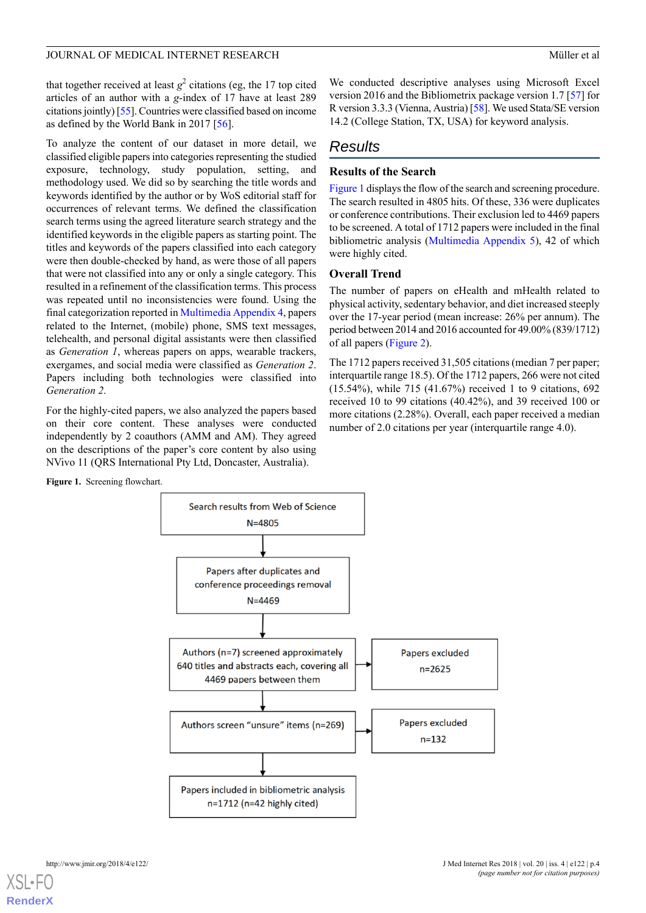that together received at least  $g^2$  citations (eg, the 17 top cited articles of an author with a *g*-index of 17 have at least 289 citations jointly) [[55\]](#page-15-10). Countries were classified based on income as defined by the World Bank in 2017 [[56\]](#page-15-11).

To analyze the content of our dataset in more detail, we classified eligible papers into categories representing the studied exposure, technology, study population, setting, and methodology used. We did so by searching the title words and keywords identified by the author or by WoS editorial staff for occurrences of relevant terms. We defined the classification search terms using the agreed literature search strategy and the identified keywords in the eligible papers as starting point. The titles and keywords of the papers classified into each category were then double-checked by hand, as were those of all papers that were not classified into any or only a single category. This resulted in a refinement of the classification terms. This process was repeated until no inconsistencies were found. Using the final categorization reported in [Multimedia Appendix 4](#page-12-3), papers related to the Internet, (mobile) phone, SMS text messages, telehealth, and personal digital assistants were then classified as *Generation 1*, whereas papers on apps, wearable trackers, exergames, and social media were classified as *Generation 2*. Papers including both technologies were classified into *Generation 2*.

<span id="page-3-0"></span>For the highly-cited papers, we also analyzed the papers based on their core content. These analyses were conducted independently by 2 coauthors (AMM and AM). They agreed on the descriptions of the paper's core content by also using NVivo 11 (QRS International Pty Ltd, Doncaster, Australia).

We conducted descriptive analyses using Microsoft Excel version 2016 and the Bibliometrix package version 1.7 [[57\]](#page-15-12) for R version 3.3.3 (Vienna, Austria) [\[58](#page-15-13)]. We used Stata/SE version 14.2 (College Station, TX, USA) for keyword analysis.

## *Results*

## **Results of the Search**

[Figure 1](#page-3-0) displays the flow of the search and screening procedure. The search resulted in 4805 hits. Of these, 336 were duplicates or conference contributions. Their exclusion led to 4469 papers to be screened. A total of 1712 papers were included in the final bibliometric analysis [\(Multimedia Appendix 5](#page-12-4)), 42 of which were highly cited.

### **Overall Trend**

The number of papers on eHealth and mHealth related to physical activity, sedentary behavior, and diet increased steeply over the 17-year period (mean increase: 26% per annum). The period between 2014 and 2016 accounted for 49.00% (839/1712) of all papers ([Figure 2](#page-4-0)).

The 1712 papers received 31,505 citations (median 7 per paper; interquartile range 18.5). Of the 1712 papers, 266 were not cited (15.54%), while 715 (41.67%) received 1 to 9 citations, 692 received 10 to 99 citations (40.42%), and 39 received 100 or more citations (2.28%). Overall, each paper received a median number of 2.0 citations per year (interquartile range 4.0).

**Figure 1.** Screening flowchart.

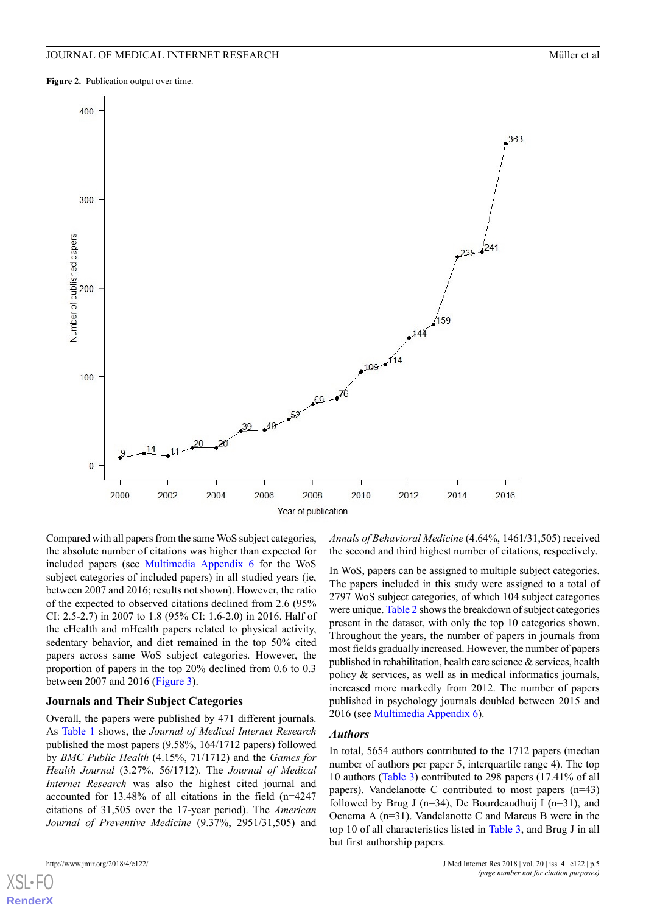<span id="page-4-0"></span>**Figure 2.** Publication output over time.



Compared with all papers from the same WoS subject categories, the absolute number of citations was higher than expected for included papers (see [Multimedia Appendix 6](#page-12-5) for the WoS subject categories of included papers) in all studied years (ie, between 2007 and 2016; results not shown). However, the ratio of the expected to observed citations declined from 2.6 (95% CI: 2.5-2.7) in 2007 to 1.8 (95% CI: 1.6-2.0) in 2016. Half of the eHealth and mHealth papers related to physical activity, sedentary behavior, and diet remained in the top 50% cited papers across same WoS subject categories. However, the proportion of papers in the top 20% declined from 0.6 to 0.3 between 2007 and 2016 ([Figure 3](#page-5-0)).

#### **Journals and Their Subject Categories**

Overall, the papers were published by 471 different journals. As [Table 1](#page-6-0) shows, the *Journal of Medical Internet Research* published the most papers (9.58%, 164/1712 papers) followed by *BMC Public Health* (4.15%, 71/1712) and the *Games for Health Journal* (3.27%, 56/1712). The *Journal of Medical Internet Research* was also the highest cited journal and accounted for 13.48% of all citations in the field (n=4247 citations of 31,505 over the 17-year period). The *American Journal of Preventive Medicine* (9.37%, 2951/31,505) and

[XSL](http://www.w3.org/Style/XSL)•FO **[RenderX](http://www.renderx.com/)**

*Annals of Behavioral Medicine* (4.64%, 1461/31,505) received the second and third highest number of citations, respectively.

In WoS, papers can be assigned to multiple subject categories. The papers included in this study were assigned to a total of 2797 WoS subject categories, of which 104 subject categories were unique. [Table 2](#page-6-1) shows the breakdown of subject categories present in the dataset, with only the top 10 categories shown. Throughout the years, the number of papers in journals from most fields gradually increased. However, the number of papers published in rehabilitation, health care science & services, health policy & services, as well as in medical informatics journals, increased more markedly from 2012. The number of papers published in psychology journals doubled between 2015 and 2016 (see [Multimedia Appendix 6\)](#page-12-5).

#### *Authors*

In total, 5654 authors contributed to the 1712 papers (median number of authors per paper 5, interquartile range 4). The top 10 authors [\(Table 3](#page-7-0)) contributed to 298 papers (17.41% of all papers). Vandelanotte C contributed to most papers (n=43) followed by Brug J ( $n=34$ ), De Bourdeaudhuij I ( $n=31$ ), and Oenema A (n=31). Vandelanotte C and Marcus B were in the top 10 of all characteristics listed in [Table 3](#page-7-0), and Brug J in all but first authorship papers.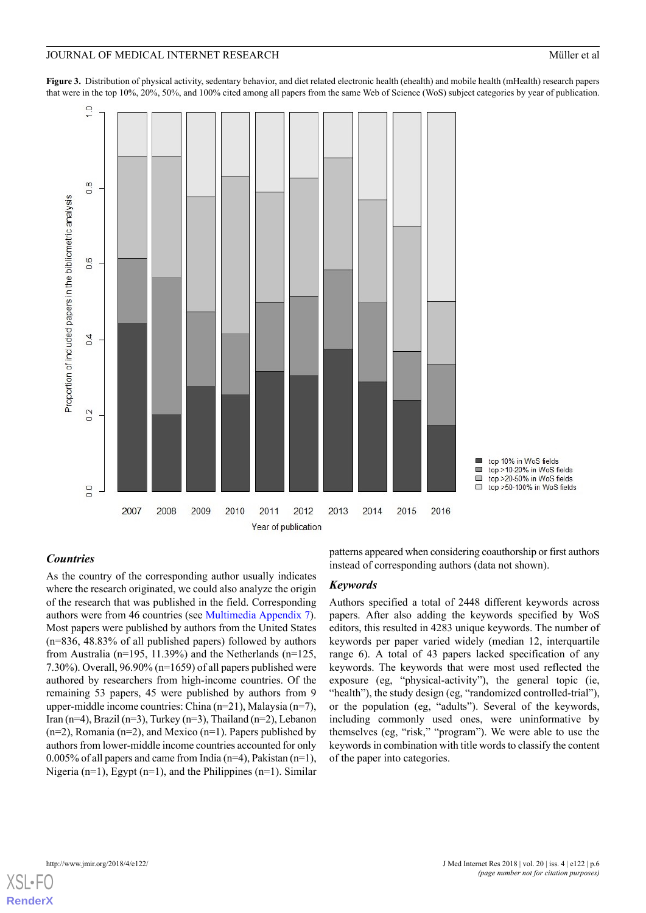<span id="page-5-0"></span>**Figure 3.** Distribution of physical activity, sedentary behavior, and diet related electronic health (ehealth) and mobile health (mHealth) research papers that were in the top 10%, 20%, 50%, and 100% cited among all papers from the same Web of Science (WoS) subject categories by year of publication.



### *Countries*

As the country of the corresponding author usually indicates where the research originated, we could also analyze the origin of the research that was published in the field. Corresponding authors were from 46 countries (see [Multimedia Appendix 7\)](#page-12-6). Most papers were published by authors from the United States (n=836, 48.83% of all published papers) followed by authors from Australia (n=195, 11.39%) and the Netherlands (n=125, 7.30%). Overall, 96.90% (n=1659) of all papers published were authored by researchers from high-income countries. Of the remaining 53 papers, 45 were published by authors from 9 upper-middle income countries: China (n=21), Malaysia (n=7), Iran (n=4), Brazil (n=3), Turkey (n=3), Thailand (n=2), Lebanon  $(n=2)$ , Romania  $(n=2)$ , and Mexico  $(n=1)$ . Papers published by authors from lower-middle income countries accounted for only 0.005% of all papers and came from India (n=4), Pakistan (n=1), Nigeria (n=1), Egypt (n=1), and the Philippines (n=1). Similar

patterns appeared when considering coauthorship or first authors instead of corresponding authors (data not shown).

#### *Keywords*

Authors specified a total of 2448 different keywords across papers. After also adding the keywords specified by WoS editors, this resulted in 4283 unique keywords. The number of keywords per paper varied widely (median 12, interquartile range 6). A total of 43 papers lacked specification of any keywords. The keywords that were most used reflected the exposure (eg, "physical-activity"), the general topic (ie, "health"), the study design (eg, "randomized controlled-trial"), or the population (eg, "adults"). Several of the keywords, including commonly used ones, were uninformative by themselves (eg, "risk," "program"). We were able to use the keywords in combination with title words to classify the content of the paper into categories.



**[RenderX](http://www.renderx.com/)**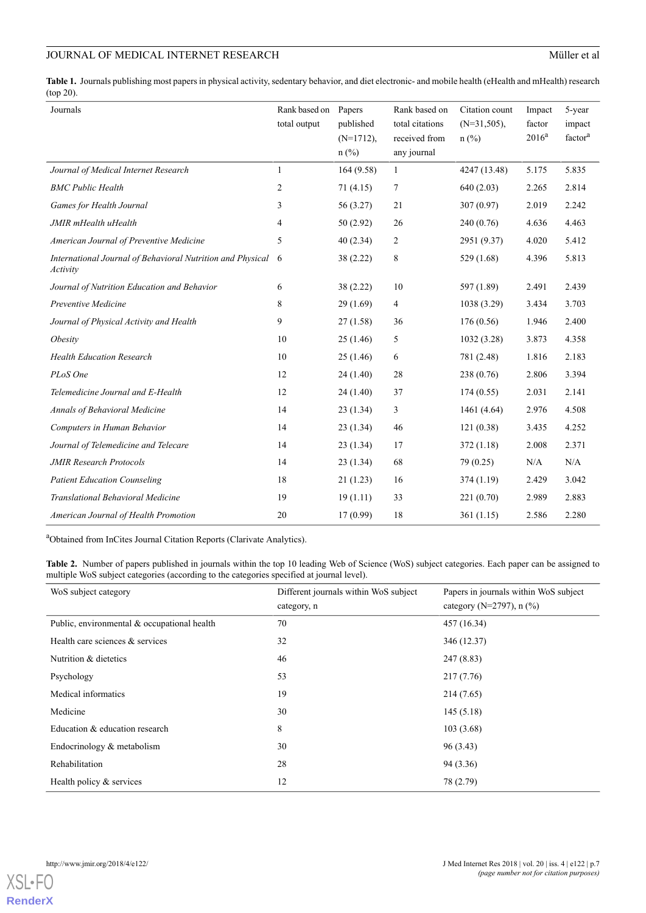## JOURNAL OF MEDICAL INTERNET RESEARCH Müller et al

<span id="page-6-0"></span>**Table 1.** Journals publishing most papers in physical activity, sedentary behavior, and diet electronic- and mobile health (eHealth and mHealth) research (top 20).

| Journals                                                               | Rank based on Papers<br>total output | published<br>$(N=1712)$ ,<br>$n$ (%) | Rank based on<br>total citations<br>received from<br>any journal | Citation count<br>$(N=31,505)$ ,<br>$n$ (%) | Impact<br>factor<br>$2016^a$ | 5-year<br>impact<br>factor <sup>a</sup> |
|------------------------------------------------------------------------|--------------------------------------|--------------------------------------|------------------------------------------------------------------|---------------------------------------------|------------------------------|-----------------------------------------|
| Journal of Medical Internet Research                                   | 1                                    | 164(9.58)                            | $\mathbf{1}$                                                     | 4247 (13.48)                                | 5.175                        | 5.835                                   |
| <b>BMC Public Health</b>                                               | 2                                    | 71(4.15)                             | 7                                                                | 640(2.03)                                   | 2.265                        | 2.814                                   |
| Games for Health Journal                                               | 3                                    | 56 (3.27)                            | 21                                                               | 307(0.97)                                   | 2.019                        | 2.242                                   |
| JMIR mHealth uHealth                                                   | 4                                    | 50(2.92)                             | 26                                                               | 240(0.76)                                   | 4.636                        | 4.463                                   |
| American Journal of Preventive Medicine                                | 5                                    | 40(2.34)                             | 2                                                                | 2951 (9.37)                                 | 4.020                        | 5.412                                   |
| International Journal of Behavioral Nutrition and Physical<br>Activity | 6                                    | 38 (2.22)                            | 8                                                                | 529(1.68)                                   | 4.396                        | 5.813                                   |
| Journal of Nutrition Education and Behavior                            | 6                                    | 38(2.22)                             | 10                                                               | 597 (1.89)                                  | 2.491                        | 2.439                                   |
| Preventive Medicine                                                    | 8                                    | 29(1.69)                             | 4                                                                | 1038 (3.29)                                 | 3.434                        | 3.703                                   |
| Journal of Physical Activity and Health                                | 9                                    | 27(1.58)                             | 36                                                               | 176(0.56)                                   | 1.946                        | 2.400                                   |
| Obesity                                                                | 10                                   | 25(1.46)                             | 5                                                                | 1032(3.28)                                  | 3.873                        | 4.358                                   |
| <b>Health Education Research</b>                                       | 10                                   | 25(1.46)                             | 6                                                                | 781 (2.48)                                  | 1.816                        | 2.183                                   |
| PLoS One                                                               | 12                                   | 24(1.40)                             | 28                                                               | 238(0.76)                                   | 2.806                        | 3.394                                   |
| Telemedicine Journal and E-Health                                      | 12                                   | 24(1.40)                             | 37                                                               | 174(0.55)                                   | 2.031                        | 2.141                                   |
| Annals of Behavioral Medicine                                          | 14                                   | 23(1.34)                             | 3                                                                | 1461 (4.64)                                 | 2.976                        | 4.508                                   |
| Computers in Human Behavior                                            | 14                                   | 23(1.34)                             | 46                                                               | 121(0.38)                                   | 3.435                        | 4.252                                   |
| Journal of Telemedicine and Telecare                                   | 14                                   | 23(1.34)                             | 17                                                               | 372(1.18)                                   | 2.008                        | 2.371                                   |
| <b>JMIR Research Protocols</b>                                         | 14                                   | 23(1.34)                             | 68                                                               | 79 (0.25)                                   | N/A                          | N/A                                     |
| <b>Patient Education Counseling</b>                                    | 18                                   | 21(1.23)                             | 16                                                               | 374(1.19)                                   | 2.429                        | 3.042                                   |
| Translational Behavioral Medicine                                      | 19                                   | 19(1.11)                             | 33                                                               | 221(0.70)                                   | 2.989                        | 2.883                                   |
| American Journal of Health Promotion                                   | 20                                   | 17(0.99)                             | 18                                                               | 361(1.15)                                   | 2.586                        | 2.280                                   |

<span id="page-6-1"></span><sup>a</sup>Obtained from InCites Journal Citation Reports (Clarivate Analytics).

**Table 2.** Number of papers published in journals within the top 10 leading Web of Science (WoS) subject categories. Each paper can be assigned to multiple WoS subject categories (according to the categories specified at journal level).

| WoS subject category                        | Different journals within WoS subject | Papers in journals within WoS subject |  |
|---------------------------------------------|---------------------------------------|---------------------------------------|--|
|                                             | category, n                           | category (N=2797), $n$ (%)            |  |
| Public, environmental & occupational health | 70                                    | 457 (16.34)                           |  |
| Health care sciences $&$ services           | 32                                    | 346 (12.37)                           |  |
| Nutrition & dietetics                       | 46                                    | 247(8.83)                             |  |
| Psychology                                  | 53                                    | 217(7.76)                             |  |
| Medical informatics                         | 19                                    | 214(7.65)                             |  |
| Medicine                                    | 30                                    | 145(5.18)                             |  |
| Education & education research              | 8                                     | 103(3.68)                             |  |
| Endocrinology $&$ metabolism                | 30                                    | 96 (3.43)                             |  |
| Rehabilitation                              | 28                                    | 94 (3.36)                             |  |
| Health policy & services                    | 12                                    | 78 (2.79)                             |  |

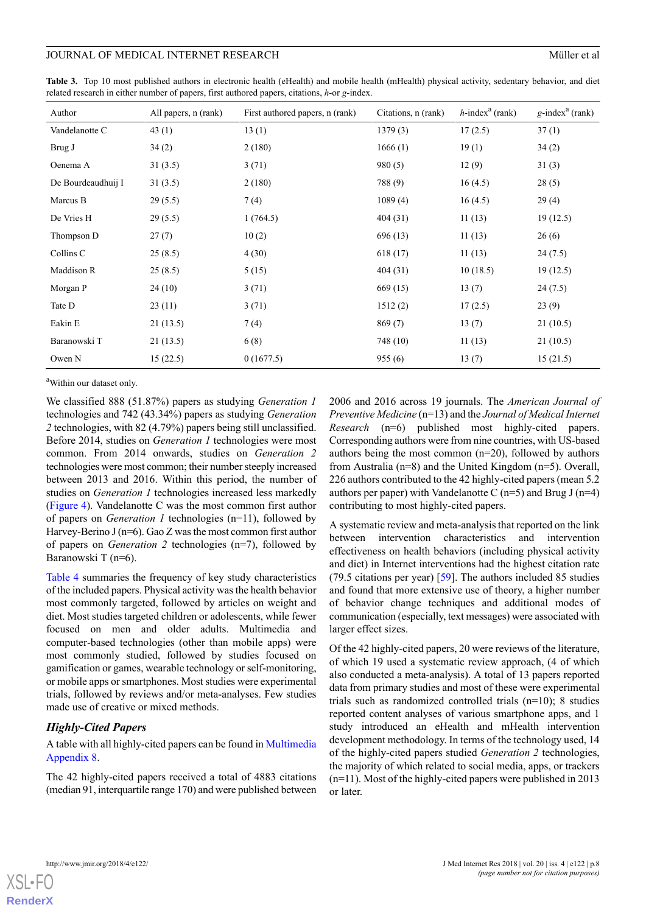#### JOURNAL OF MEDICAL INTERNET RESEARCH MÜHERER AND MÜHERER AND MÜHERER AND MÜHERER A

<span id="page-7-0"></span>

| Table 3. Top 10 most published authors in electronic health (eHealth) and mobile health (mHealth) physical activity, sedentary behavior, and diet |  |  |  |  |  |
|---------------------------------------------------------------------------------------------------------------------------------------------------|--|--|--|--|--|
| related research in either number of papers, first authored papers, citations, $h$ -or $g$ -index.                                                |  |  |  |  |  |

| Author             | All papers, n (rank) | First authored papers, n (rank) | Citations, n (rank) | $h$ -index <sup>a</sup> (rank) | $g$ -index <sup>a</sup> (rank) |
|--------------------|----------------------|---------------------------------|---------------------|--------------------------------|--------------------------------|
| Vandelanotte C     | 43(1)                | 13(1)                           | 1379(3)             | 17(2.5)                        | 37(1)                          |
| Brug J             | 34(2)                | 2(180)                          | 1666(1)             | 19(1)                          | 34(2)                          |
| Oenema A           | 31(3.5)              | 3(71)                           | 980(5)              | 12(9)                          | 31(3)                          |
| De Bourdeaudhuij I | 31(3.5)              | 2(180)                          | 788 (9)             | 16(4.5)                        | 28(5)                          |
| Marcus B           | 29(5.5)              | 7(4)                            | 1089(4)             | 16(4.5)                        | 29(4)                          |
| De Vries H         | 29(5.5)              | 1(764.5)                        | 404(31)             | 11(13)                         | 19(12.5)                       |
| Thompson D         | 27(7)                | 10(2)                           | 696 (13)            | 11(13)                         | 26(6)                          |
| Collins C          | 25(8.5)              | 4(30)                           | 618(17)             | 11(13)                         | 24(7.5)                        |
| Maddison R         | 25(8.5)              | 5(15)                           | 404(31)             | 10(18.5)                       | 19(12.5)                       |
| Morgan P           | 24(10)               | 3(71)                           | 669 (15)            | 13(7)                          | 24(7.5)                        |
| Tate D             | 23(11)               | 3(71)                           | 1512(2)             | 17(2.5)                        | 23(9)                          |
| Eakin E            | 21(13.5)             | 7(4)                            | 869(7)              | 13(7)                          | 21(10.5)                       |
| Baranowski T       | 21(13.5)             | 6(8)                            | 748 (10)            | 11(13)                         | 21(10.5)                       |
| Owen N             | 15(22.5)             | 0(1677.5)                       | 955(6)              | 13(7)                          | 15(21.5)                       |

<sup>a</sup>Within our dataset only.

We classified 888 (51.87%) papers as studying *Generation 1* technologies and 742 (43.34%) papers as studying *Generation 2* technologies, with 82 (4.79%) papers being still unclassified. Before 2014, studies on *Generation 1* technologies were most common. From 2014 onwards, studies on *Generation 2* technologies were most common; their number steeply increased between 2013 and 2016. Within this period, the number of studies on *Generation 1* technologies increased less markedly ([Figure 4\)](#page-8-0). Vandelanotte C was the most common first author of papers on *Generation 1* technologies (n=11), followed by Harvey-Berino J (n=6). Gao Z was the most common first author of papers on *Generation 2* technologies (n=7), followed by Baranowski T (n=6).

[Table 4](#page-9-0) summaries the frequency of key study characteristics of the included papers. Physical activity was the health behavior most commonly targeted, followed by articles on weight and diet. Most studies targeted children or adolescents, while fewer focused on men and older adults. Multimedia and computer-based technologies (other than mobile apps) were most commonly studied, followed by studies focused on gamification or games, wearable technology or self-monitoring, or mobile apps or smartphones. Most studies were experimental trials, followed by reviews and/or meta-analyses. Few studies made use of creative or mixed methods.

### *Highly-Cited Papers*

A table with all highly-cited papers can be found in [Multimedia](#page-12-7) [Appendix 8](#page-12-7).

The 42 highly-cited papers received a total of 4883 citations (median 91, interquartile range 170) and were published between

2006 and 2016 across 19 journals. The *American Journal of Preventive Medicine* (n=13) and the *Journal of Medical Internet Research* (n=6) published most highly-cited papers. Corresponding authors were from nine countries, with US-based authors being the most common (n=20), followed by authors from Australia (n=8) and the United Kingdom (n=5). Overall, 226 authors contributed to the 42 highly-cited papers (mean 5.2 authors per paper) with Vandelanotte C  $(n=5)$  and Brug J  $(n=4)$ contributing to most highly-cited papers.

A systematic review and meta-analysis that reported on the link between intervention characteristics and intervention effectiveness on health behaviors (including physical activity and diet) in Internet interventions had the highest citation rate (79.5 citations per year) [[59\]](#page-15-14). The authors included 85 studies and found that more extensive use of theory, a higher number of behavior change techniques and additional modes of communication (especially, text messages) were associated with larger effect sizes.

Of the 42 highly-cited papers, 20 were reviews of the literature, of which 19 used a systematic review approach, (4 of which also conducted a meta-analysis). A total of 13 papers reported data from primary studies and most of these were experimental trials such as randomized controlled trials (n=10); 8 studies reported content analyses of various smartphone apps, and 1 study introduced an eHealth and mHealth intervention development methodology. In terms of the technology used, 14 of the highly-cited papers studied *Generation 2* technologies, the majority of which related to social media, apps, or trackers (n=11). Most of the highly-cited papers were published in 2013 or later.

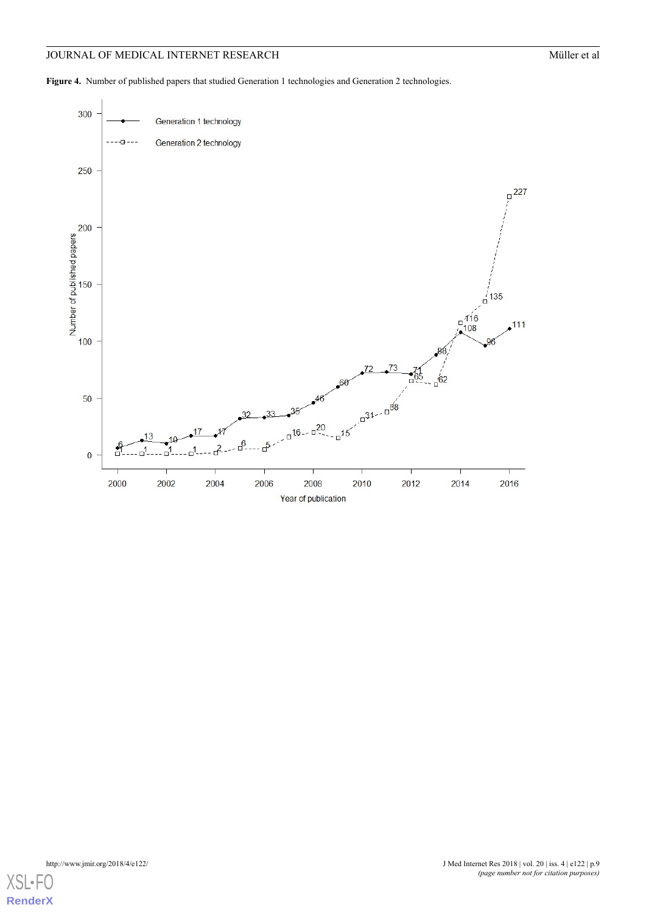## **JOURNAL OF MEDICAL INTERNET RESEARCH** Müller et al

<span id="page-8-0"></span>Figure 4. Number of published papers that studied Generation 1 technologies and Generation 2 technologies.



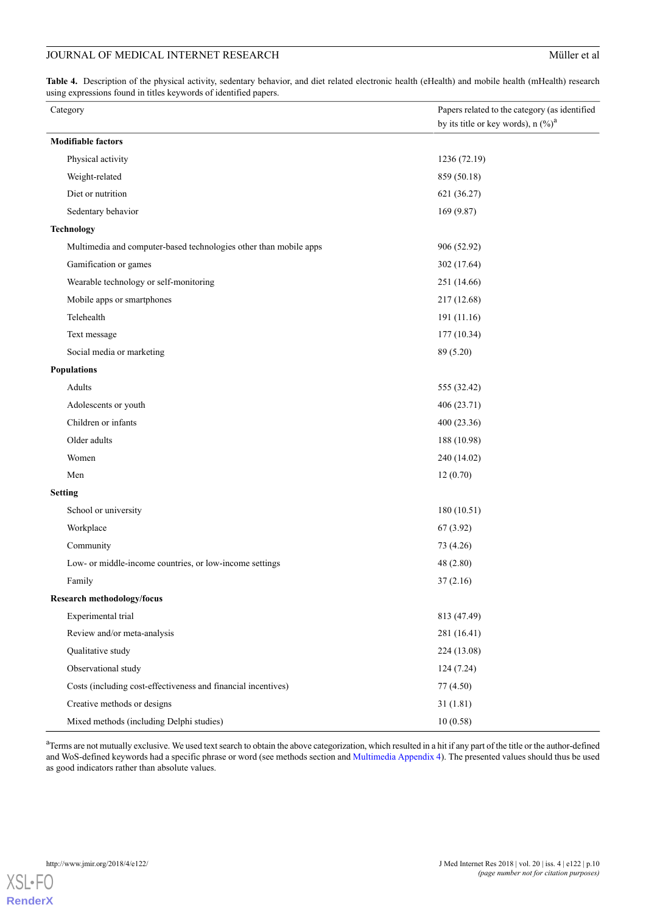<span id="page-9-0"></span>**Table 4.** Description of the physical activity, sedentary behavior, and diet related electronic health (eHealth) and mobile health (mHealth) research using expressions found in titles keywords of identified papers.

| Category                                                          | Papers related to the category (as identified<br>by its title or key words), $n \binom{0}{0}^a$ |
|-------------------------------------------------------------------|-------------------------------------------------------------------------------------------------|
| <b>Modifiable factors</b>                                         |                                                                                                 |
| Physical activity                                                 | 1236 (72.19)                                                                                    |
| Weight-related                                                    | 859 (50.18)                                                                                     |
| Diet or nutrition                                                 | 621 (36.27)                                                                                     |
| Sedentary behavior                                                | 169 (9.87)                                                                                      |
| <b>Technology</b>                                                 |                                                                                                 |
| Multimedia and computer-based technologies other than mobile apps | 906 (52.92)                                                                                     |
| Gamification or games                                             | 302 (17.64)                                                                                     |
| Wearable technology or self-monitoring                            | 251 (14.66)                                                                                     |
| Mobile apps or smartphones                                        | 217 (12.68)                                                                                     |
| Telehealth                                                        | 191 (11.16)                                                                                     |
| Text message                                                      | 177 (10.34)                                                                                     |
| Social media or marketing                                         | 89 (5.20)                                                                                       |
| <b>Populations</b>                                                |                                                                                                 |
| Adults                                                            | 555 (32.42)                                                                                     |
| Adolescents or youth                                              | 406 (23.71)                                                                                     |
| Children or infants                                               | 400 (23.36)                                                                                     |
| Older adults                                                      | 188 (10.98)                                                                                     |
| Women                                                             | 240 (14.02)                                                                                     |
| Men                                                               | 12(0.70)                                                                                        |
| <b>Setting</b>                                                    |                                                                                                 |
| School or university                                              | 180 (10.51)                                                                                     |
| Workplace                                                         | 67(3.92)                                                                                        |
| Community                                                         | 73 (4.26)                                                                                       |
| Low- or middle-income countries, or low-income settings           | 48 (2.80)                                                                                       |
| Family                                                            | 37(2.16)                                                                                        |
| <b>Research methodology/focus</b>                                 |                                                                                                 |
| Experimental trial                                                | 813 (47.49)                                                                                     |
| Review and/or meta-analysis                                       | 281 (16.41)                                                                                     |
| Qualitative study                                                 | 224 (13.08)                                                                                     |
| Observational study                                               | 124(7.24)                                                                                       |
| Costs (including cost-effectiveness and financial incentives)     | 77 (4.50)                                                                                       |
| Creative methods or designs                                       | 31(1.81)                                                                                        |
| Mixed methods (including Delphi studies)                          | 10(0.58)                                                                                        |

<sup>a</sup>Terms are not mutually exclusive. We used text search to obtain the above categorization, which resulted in a hit if any part of the title or the author-defined and WoS-defined keywords had a specific phrase or word (see methods section and [Multimedia Appendix 4](#page-12-3)). The presented values should thus be used as good indicators rather than absolute values.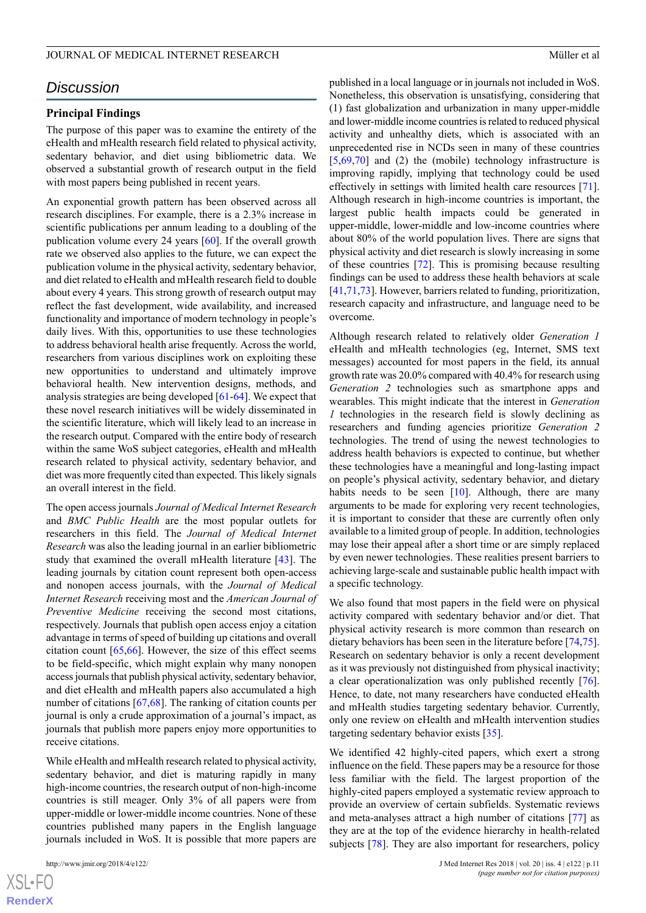## *Discussion*

#### **Principal Findings**

The purpose of this paper was to examine the entirety of the eHealth and mHealth research field related to physical activity, sedentary behavior, and diet using bibliometric data. We observed a substantial growth of research output in the field with most papers being published in recent years.

An exponential growth pattern has been observed across all research disciplines. For example, there is a 2.3% increase in scientific publications per annum leading to a doubling of the publication volume every 24 years [[60\]](#page-15-15). If the overall growth rate we observed also applies to the future, we can expect the publication volume in the physical activity, sedentary behavior, and diet related to eHealth and mHealth research field to double about every 4 years. This strong growth of research output may reflect the fast development, wide availability, and increased functionality and importance of modern technology in people's daily lives. With this, opportunities to use these technologies to address behavioral health arise frequently. Across the world, researchers from various disciplines work on exploiting these new opportunities to understand and ultimately improve behavioral health. New intervention designs, methods, and analysis strategies are being developed [[61](#page-15-16)[-64](#page-15-17)]. We expect that these novel research initiatives will be widely disseminated in the scientific literature, which will likely lead to an increase in the research output. Compared with the entire body of research within the same WoS subject categories, eHealth and mHealth research related to physical activity, sedentary behavior, and diet was more frequently cited than expected. This likely signals an overall interest in the field.

The open access journals *Journal of Medical Internet Research* and *BMC Public Health* are the most popular outlets for researchers in this field. The *Journal of Medical Internet Research* was also the leading journal in an earlier bibliometric study that examined the overall mHealth literature [[43\]](#page-15-1). The leading journals by citation count represent both open-access and nonopen access journals, with the *Journal of Medical Internet Research* receiving most and the *American Journal of Preventive Medicine* receiving the second most citations, respectively. Journals that publish open access enjoy a citation advantage in terms of speed of building up citations and overall citation count [\[65](#page-15-18),[66\]](#page-15-19). However, the size of this effect seems to be field-specific, which might explain why many nonopen access journals that publish physical activity, sedentary behavior, and diet eHealth and mHealth papers also accumulated a high number of citations [[67,](#page-16-0)[68](#page-16-1)]. The ranking of citation counts per journal is only a crude approximation of a journal's impact, as journals that publish more papers enjoy more opportunities to receive citations.

While eHealth and mHealth research related to physical activity, sedentary behavior, and diet is maturing rapidly in many high-income countries, the research output of non-high-income countries is still meager. Only 3% of all papers were from upper-middle or lower-middle income countries. None of these countries published many papers in the English language journals included in WoS. It is possible that more papers are

published in a local language or in journals not included in WoS. Nonetheless, this observation is unsatisfying, considering that (1) fast globalization and urbanization in many upper-middle and lower-middle income countries is related to reduced physical activity and unhealthy diets, which is associated with an unprecedented rise in NCDs seen in many of these countries [[5](#page-13-3)[,69](#page-16-2),[70\]](#page-16-3) and (2) the (mobile) technology infrastructure is improving rapidly, implying that technology could be used effectively in settings with limited health care resources [[71\]](#page-16-4). Although research in high-income countries is important, the largest public health impacts could be generated in upper-middle, lower-middle and low-income countries where about 80% of the world population lives. There are signs that physical activity and diet research is slowly increasing in some of these countries [[72\]](#page-16-5). This is promising because resulting findings can be used to address these health behaviors at scale [[41,](#page-14-15)[71,](#page-16-4)[73\]](#page-16-6). However, barriers related to funding, prioritization, research capacity and infrastructure, and language need to be overcome.

Although research related to relatively older *Generation 1* eHealth and mHealth technologies (eg, Internet, SMS text messages) accounted for most papers in the field, its annual growth rate was 20.0% compared with 40.4% for research using *Generation 2* technologies such as smartphone apps and wearables. This might indicate that the interest in *Generation 1* technologies in the research field is slowly declining as researchers and funding agencies prioritize *Generation 2* technologies. The trend of using the newest technologies to address health behaviors is expected to continue, but whether these technologies have a meaningful and long-lasting impact on people's physical activity, sedentary behavior, and dietary habits needs to be seen  $[10]$  $[10]$ . Although, there are many arguments to be made for exploring very recent technologies, it is important to consider that these are currently often only available to a limited group of people. In addition, technologies may lose their appeal after a short time or are simply replaced by even newer technologies. These realities present barriers to achieving large-scale and sustainable public health impact with a specific technology.

We also found that most papers in the field were on physical activity compared with sedentary behavior and/or diet. That physical activity research is more common than research on dietary behaviors has been seen in the literature before [\[74](#page-16-7),[75\]](#page-16-8). Research on sedentary behavior is only a recent development as it was previously not distinguished from physical inactivity; a clear operationalization was only published recently [[76\]](#page-16-9). Hence, to date, not many researchers have conducted eHealth and mHealth studies targeting sedentary behavior. Currently, only one review on eHealth and mHealth intervention studies targeting sedentary behavior exists [\[35](#page-14-9)].

We identified 42 highly-cited papers, which exert a strong influence on the field. These papers may be a resource for those less familiar with the field. The largest proportion of the highly-cited papers employed a systematic review approach to provide an overview of certain subfields. Systematic reviews and meta-analyses attract a high number of citations [\[77](#page-16-10)] as they are at the top of the evidence hierarchy in health-related subjects [\[78](#page-16-11)]. They are also important for researchers, policy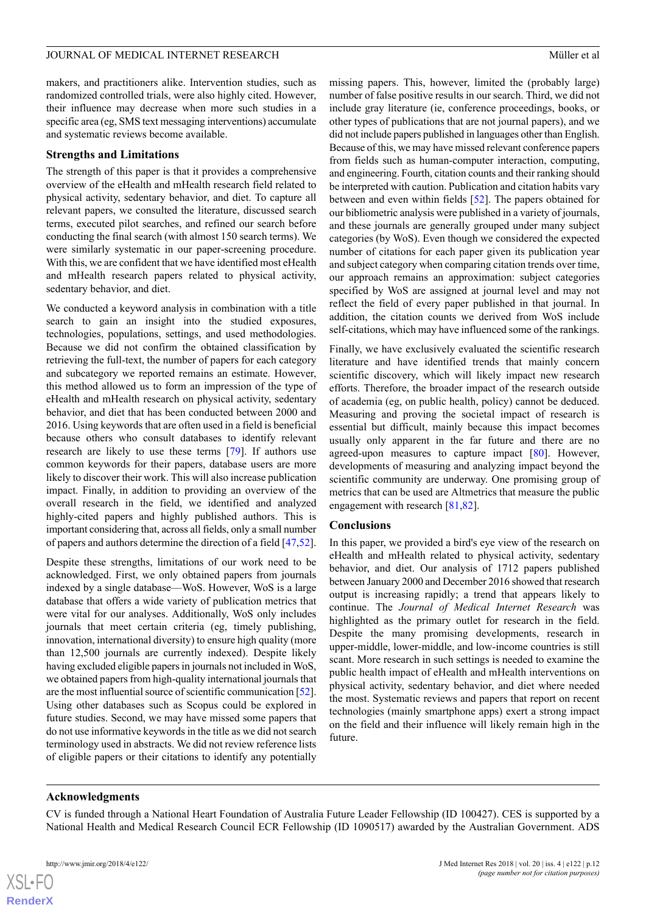makers, and practitioners alike. Intervention studies, such as randomized controlled trials, were also highly cited. However, their influence may decrease when more such studies in a specific area (eg, SMS text messaging interventions) accumulate and systematic reviews become available.

#### **Strengths and Limitations**

The strength of this paper is that it provides a comprehensive overview of the eHealth and mHealth research field related to physical activity, sedentary behavior, and diet. To capture all relevant papers, we consulted the literature, discussed search terms, executed pilot searches, and refined our search before conducting the final search (with almost 150 search terms). We were similarly systematic in our paper-screening procedure. With this, we are confident that we have identified most eHealth and mHealth research papers related to physical activity, sedentary behavior, and diet.

We conducted a keyword analysis in combination with a title search to gain an insight into the studied exposures, technologies, populations, settings, and used methodologies. Because we did not confirm the obtained classification by retrieving the full-text, the number of papers for each category and subcategory we reported remains an estimate. However, this method allowed us to form an impression of the type of eHealth and mHealth research on physical activity, sedentary behavior, and diet that has been conducted between 2000 and 2016. Using keywords that are often used in a field is beneficial because others who consult databases to identify relevant research are likely to use these terms [[79\]](#page-16-12). If authors use common keywords for their papers, database users are more likely to discover their work. This will also increase publication impact. Finally, in addition to providing an overview of the overall research in the field, we identified and analyzed highly-cited papers and highly published authors. This is important considering that, across all fields, only a small number of papers and authors determine the direction of a field [\[47](#page-15-2),[52\]](#page-15-7).

Despite these strengths, limitations of our work need to be acknowledged. First, we only obtained papers from journals indexed by a single database—WoS. However, WoS is a large database that offers a wide variety of publication metrics that were vital for our analyses. Additionally, WoS only includes journals that meet certain criteria (eg, timely publishing, innovation, international diversity) to ensure high quality (more than 12,500 journals are currently indexed). Despite likely having excluded eligible papers in journals not included in WoS, we obtained papers from high-quality international journals that are the most influential source of scientific communication [\[52\]](#page-15-7). Using other databases such as Scopus could be explored in future studies. Second, we may have missed some papers that do not use informative keywords in the title as we did not search terminology used in abstracts. We did not review reference lists of eligible papers or their citations to identify any potentially

missing papers. This, however, limited the (probably large) number of false positive results in our search. Third, we did not include gray literature (ie, conference proceedings, books, or other types of publications that are not journal papers), and we did not include papers published in languages other than English. Because of this, we may have missed relevant conference papers from fields such as human-computer interaction, computing, and engineering. Fourth, citation counts and their ranking should be interpreted with caution. Publication and citation habits vary between and even within fields [[52\]](#page-15-7). The papers obtained for our bibliometric analysis were published in a variety of journals, and these journals are generally grouped under many subject categories (by WoS). Even though we considered the expected number of citations for each paper given its publication year and subject category when comparing citation trends over time, our approach remains an approximation: subject categories specified by WoS are assigned at journal level and may not reflect the field of every paper published in that journal. In addition, the citation counts we derived from WoS include self-citations, which may have influenced some of the rankings.

Finally, we have exclusively evaluated the scientific research literature and have identified trends that mainly concern scientific discovery, which will likely impact new research efforts. Therefore, the broader impact of the research outside of academia (eg, on public health, policy) cannot be deduced. Measuring and proving the societal impact of research is essential but difficult, mainly because this impact becomes usually only apparent in the far future and there are no agreed-upon measures to capture impact [[80\]](#page-16-13). However, developments of measuring and analyzing impact beyond the scientific community are underway. One promising group of metrics that can be used are Altmetrics that measure the public engagement with research [[81](#page-16-14)[,82](#page-16-15)].

#### **Conclusions**

In this paper, we provided a bird's eye view of the research on eHealth and mHealth related to physical activity, sedentary behavior, and diet. Our analysis of 1712 papers published between January 2000 and December 2016 showed that research output is increasing rapidly; a trend that appears likely to continue. The *Journal of Medical Internet Research* was highlighted as the primary outlet for research in the field. Despite the many promising developments, research in upper-middle, lower-middle, and low-income countries is still scant. More research in such settings is needed to examine the public health impact of eHealth and mHealth interventions on physical activity, sedentary behavior, and diet where needed the most. Systematic reviews and papers that report on recent technologies (mainly smartphone apps) exert a strong impact on the field and their influence will likely remain high in the future.

#### **Acknowledgments**

CV is funded through a National Heart Foundation of Australia Future Leader Fellowship (ID 100427). CES is supported by a National Health and Medical Research Council ECR Fellowship (ID 1090517) awarded by the Australian Government. ADS

 $XS$ -FO **[RenderX](http://www.renderx.com/)**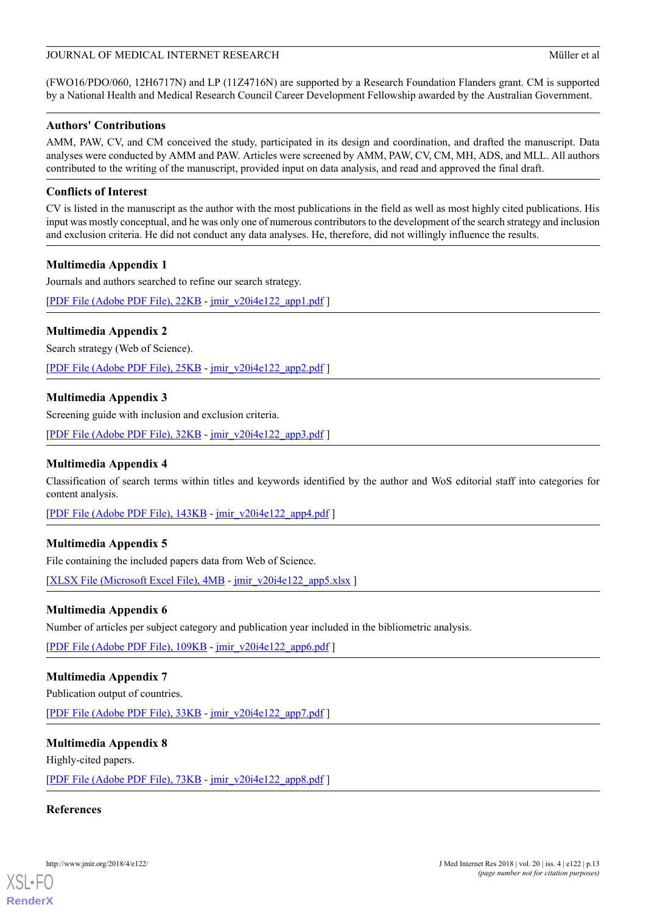(FWO16/PDO/060, 12H6717N) and LP (11Z4716N) are supported by a Research Foundation Flanders grant. CM is supported by a National Health and Medical Research Council Career Development Fellowship awarded by the Australian Government.

### **Authors' Contributions**

AMM, PAW, CV, and CM conceived the study, participated in its design and coordination, and drafted the manuscript. Data analyses were conducted by AMM and PAW. Articles were screened by AMM, PAW, CV, CM, MH, ADS, and MLL. All authors contributed to the writing of the manuscript, provided input on data analysis, and read and approved the final draft.

## **Conflicts of Interest**

CV is listed in the manuscript as the author with the most publications in the field as well as most highly cited publications. His input was mostly conceptual, and he was only one of numerous contributors to the development of the search strategy and inclusion and exclusion criteria. He did not conduct any data analyses. He, therefore, did not willingly influence the results.

## <span id="page-12-0"></span>**Multimedia Appendix 1**

Journals and authors searched to refine our search strategy.

<span id="page-12-1"></span>[[PDF File \(Adobe PDF File\), 22KB](http://www.jmir.org/article/downloadSuppFile/8954/60435) - [jmir\\_v20i4e122\\_app1.pdf](http://www.jmir.org/article/downloadSuppFile/8954/60435) ]

## **Multimedia Appendix 2**

<span id="page-12-2"></span>Search strategy (Web of Science).

[[PDF File \(Adobe PDF File\), 25KB](http://www.jmir.org/article/downloadSuppFile/8954/60436) - [jmir\\_v20i4e122\\_app2.pdf](http://www.jmir.org/article/downloadSuppFile/8954/60436) ]

## **Multimedia Appendix 3**

<span id="page-12-3"></span>Screening guide with inclusion and exclusion criteria.

[[PDF File \(Adobe PDF File\), 32KB](http://www.jmir.org/article/downloadSuppFile/8954/60437) - [jmir\\_v20i4e122\\_app3.pdf](http://www.jmir.org/article/downloadSuppFile/8954/60437) ]

### **Multimedia Appendix 4**

<span id="page-12-4"></span>Classification of search terms within titles and keywords identified by the author and WoS editorial staff into categories for content analysis.

[[PDF File \(Adobe PDF File\), 143KB](http://www.jmir.org/article/downloadSuppFile/8954/60438) - [jmir\\_v20i4e122\\_app4.pdf](http://www.jmir.org/article/downloadSuppFile/8954/60438) ]

## <span id="page-12-5"></span>**Multimedia Appendix 5**

File containing the included papers data from Web of Science.

[[XLSX File \(Microsoft Excel File\), 4MB](http://www.jmir.org/article/downloadSuppFile/8954/71204) - [jmir\\_v20i4e122\\_app5.xlsx](http://www.jmir.org/article/downloadSuppFile/8954/71204) ]

### <span id="page-12-6"></span>**Multimedia Appendix 6**

Number of articles per subject category and publication year included in the bibliometric analysis.

[[PDF File \(Adobe PDF File\), 109KB](http://www.jmir.org/article/downloadSuppFile/8954/71206) - [jmir\\_v20i4e122\\_app6.pdf](http://www.jmir.org/article/downloadSuppFile/8954/71206) ]

### <span id="page-12-7"></span>**Multimedia Appendix 7**

Publication output of countries.

[[PDF File \(Adobe PDF File\), 33KB](http://www.jmir.org/article/downloadSuppFile/8954/71207) - [jmir\\_v20i4e122\\_app7.pdf](http://www.jmir.org/article/downloadSuppFile/8954/71207) ]

### **Multimedia Appendix 8**

Highly-cited papers.

[[PDF File \(Adobe PDF File\), 73KB](http://www.jmir.org/article/downloadSuppFile/8954/71208) - [jmir\\_v20i4e122\\_app8.pdf](http://www.jmir.org/article/downloadSuppFile/8954/71208) ]

## **References**

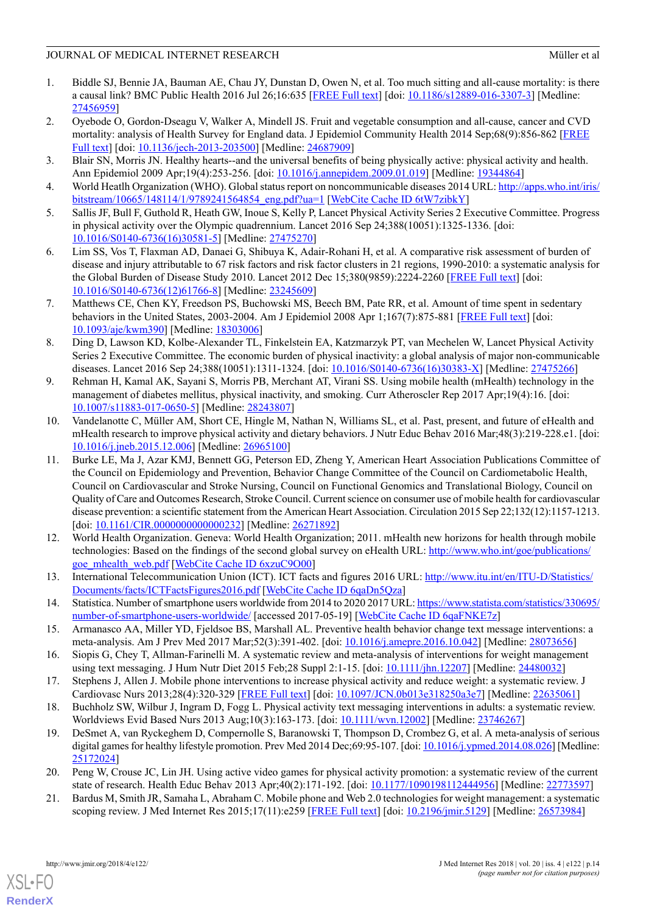- <span id="page-13-0"></span>1. Biddle SJ, Bennie JA, Bauman AE, Chau JY, Dunstan D, Owen N, et al. Too much sitting and all-cause mortality: is there a causal link? BMC Public Health 2016 Jul 26;16:635 [\[FREE Full text\]](https://bmcpublichealth.biomedcentral.com/articles/10.1186/s12889-016-3307-3) [doi: [10.1186/s12889-016-3307-3\]](http://dx.doi.org/10.1186/s12889-016-3307-3) [Medline: [27456959](http://www.ncbi.nlm.nih.gov/entrez/query.fcgi?cmd=Retrieve&db=PubMed&list_uids=27456959&dopt=Abstract)]
- 2. Oyebode O, Gordon-Dseagu V, Walker A, Mindell JS. Fruit and vegetable consumption and all-cause, cancer and CVD mortality: analysis of Health Survey for England data. J Epidemiol Community Health 2014 Sep;68(9):856-862 [\[FREE](http://jech.bmj.com/cgi/pmidlookup?view=long&pmid=24687909) [Full text](http://jech.bmj.com/cgi/pmidlookup?view=long&pmid=24687909)] [doi: [10.1136/jech-2013-203500\]](http://dx.doi.org/10.1136/jech-2013-203500) [Medline: [24687909](http://www.ncbi.nlm.nih.gov/entrez/query.fcgi?cmd=Retrieve&db=PubMed&list_uids=24687909&dopt=Abstract)]
- <span id="page-13-2"></span><span id="page-13-1"></span>3. Blair SN, Morris JN. Healthy hearts--and the universal benefits of being physically active: physical activity and health. Ann Epidemiol 2009 Apr;19(4):253-256. [doi: [10.1016/j.annepidem.2009.01.019](http://dx.doi.org/10.1016/j.annepidem.2009.01.019)] [Medline: [19344864\]](http://www.ncbi.nlm.nih.gov/entrez/query.fcgi?cmd=Retrieve&db=PubMed&list_uids=19344864&dopt=Abstract)
- <span id="page-13-3"></span>4. World Heatlh Organization (WHO). Global status report on noncommunicable diseases 2014 URL: [http://apps.who.int/iris/](http://apps.who.int/iris/bitstream/10665/148114/1/9789241564854_eng.pdf?ua=1) bitstream/10665/148114/1/9789241564854 eng.pdf?ua=1 [[WebCite Cache ID 6tW7zibkY](http://www.webcitation.org/6tW7zibkY)]
- <span id="page-13-5"></span>5. Sallis JF, Bull F, Guthold R, Heath GW, Inoue S, Kelly P, Lancet Physical Activity Series 2 Executive Committee. Progress in physical activity over the Olympic quadrennium. Lancet 2016 Sep 24;388(10051):1325-1336. [doi: [10.1016/S0140-6736\(16\)30581-5\]](http://dx.doi.org/10.1016/S0140-6736(16)30581-5) [Medline: [27475270](http://www.ncbi.nlm.nih.gov/entrez/query.fcgi?cmd=Retrieve&db=PubMed&list_uids=27475270&dopt=Abstract)]
- <span id="page-13-4"></span>6. Lim SS, Vos T, Flaxman AD, Danaei G, Shibuya K, Adair-Rohani H, et al. A comparative risk assessment of burden of disease and injury attributable to 67 risk factors and risk factor clusters in 21 regions, 1990-2010: a systematic analysis for the Global Burden of Disease Study 2010. Lancet 2012 Dec 15;380(9859):2224-2260 [\[FREE Full text\]](http://europepmc.org/abstract/MED/23245609) [doi: [10.1016/S0140-6736\(12\)61766-8\]](http://dx.doi.org/10.1016/S0140-6736(12)61766-8) [Medline: [23245609](http://www.ncbi.nlm.nih.gov/entrez/query.fcgi?cmd=Retrieve&db=PubMed&list_uids=23245609&dopt=Abstract)]
- <span id="page-13-6"></span>7. Matthews CE, Chen KY, Freedson PS, Buchowski MS, Beech BM, Pate RR, et al. Amount of time spent in sedentary behaviors in the United States, 2003-2004. Am J Epidemiol 2008 Apr 1;167(7):875-881 [[FREE Full text](http://aje.oxfordjournals.org/cgi/pmidlookup?view=long&pmid=18303006)] [doi: [10.1093/aje/kwm390](http://dx.doi.org/10.1093/aje/kwm390)] [Medline: [18303006\]](http://www.ncbi.nlm.nih.gov/entrez/query.fcgi?cmd=Retrieve&db=PubMed&list_uids=18303006&dopt=Abstract)
- <span id="page-13-7"></span>8. Ding D, Lawson KD, Kolbe-Alexander TL, Finkelstein EA, Katzmarzyk PT, van Mechelen W, Lancet Physical Activity Series 2 Executive Committee. The economic burden of physical inactivity: a global analysis of major non-communicable diseases. Lancet 2016 Sep 24;388(10051):1311-1324. [doi: [10.1016/S0140-6736\(16\)30383-X\]](http://dx.doi.org/10.1016/S0140-6736(16)30383-X) [Medline: [27475266\]](http://www.ncbi.nlm.nih.gov/entrez/query.fcgi?cmd=Retrieve&db=PubMed&list_uids=27475266&dopt=Abstract)
- <span id="page-13-11"></span>9. Rehman H, Kamal AK, Sayani S, Morris PB, Merchant AT, Virani SS. Using mobile health (mHealth) technology in the management of diabetes mellitus, physical inactivity, and smoking. Curr Atheroscler Rep 2017 Apr;19(4):16. [doi: [10.1007/s11883-017-0650-5](http://dx.doi.org/10.1007/s11883-017-0650-5)] [Medline: [28243807](http://www.ncbi.nlm.nih.gov/entrez/query.fcgi?cmd=Retrieve&db=PubMed&list_uids=28243807&dopt=Abstract)]
- 10. Vandelanotte C, Müller AM, Short CE, Hingle M, Nathan N, Williams SL, et al. Past, present, and future of eHealth and mHealth research to improve physical activity and dietary behaviors. J Nutr Educ Behav 2016 Mar;48(3):219-228.e1. [doi: [10.1016/j.jneb.2015.12.006\]](http://dx.doi.org/10.1016/j.jneb.2015.12.006) [Medline: [26965100](http://www.ncbi.nlm.nih.gov/entrez/query.fcgi?cmd=Retrieve&db=PubMed&list_uids=26965100&dopt=Abstract)]
- <span id="page-13-8"></span>11. Burke LE, Ma J, Azar KMJ, Bennett GG, Peterson ED, Zheng Y, American Heart Association Publications Committee of the Council on Epidemiology and Prevention, Behavior Change Committee of the Council on Cardiometabolic Health, Council on Cardiovascular and Stroke Nursing, Council on Functional Genomics and Translational Biology, Council on Quality of Care and Outcomes Research, Stroke Council. Current science on consumer use of mobile health for cardiovascular disease prevention: a scientific statement from the American Heart Association. Circulation 2015 Sep 22;132(12):1157-1213. [doi: [10.1161/CIR.0000000000000232\]](http://dx.doi.org/10.1161/CIR.0000000000000232) [Medline: [26271892\]](http://www.ncbi.nlm.nih.gov/entrez/query.fcgi?cmd=Retrieve&db=PubMed&list_uids=26271892&dopt=Abstract)
- <span id="page-13-10"></span><span id="page-13-9"></span>12. World Health Organization. Geneva: World Health Organization; 2011. mHealth new horizons for health through mobile technologies: Based on the findings of the second global survey on eHealth URL: [http://www.who.int/goe/publications/](http://www.who.int/goe/publications/goe_mhealth_web.pdf) [goe\\_mhealth\\_web.pdf](http://www.who.int/goe/publications/goe_mhealth_web.pdf) [\[WebCite Cache ID 6xzuC9O00](http://www.webcitation.org/6xzuC9O00)]
- <span id="page-13-12"></span>13. International Telecommunication Union (ICT). ICT facts and figures 2016 URL: [http://www.itu.int/en/ITU-D/Statistics/](http://www.itu.int/en/ITU-D/Statistics/Documents/facts/ICTFactsFigures2016.pdf) [Documents/facts/ICTFactsFigures2016.pdf](http://www.itu.int/en/ITU-D/Statistics/Documents/facts/ICTFactsFigures2016.pdf) [\[WebCite Cache ID 6qaDn5Qza\]](http://www.webcitation.org/6qaDn5Qza)
- 14. Statistica. Number of smartphone users worldwide from 2014 to 2020 2017 URL: [https://www.statista.com/statistics/330695/](https://www.statista.com/statistics/330695/number-of-smartphone-users-worldwide/) [number-of-smartphone-users-worldwide/](https://www.statista.com/statistics/330695/number-of-smartphone-users-worldwide/) [accessed 2017-05-19] [\[WebCite Cache ID 6qaFNKE7z](http://www.webcitation.org/6qaFNKE7z)]
- <span id="page-13-13"></span>15. Armanasco AA, Miller YD, Fjeldsoe BS, Marshall AL. Preventive health behavior change text message interventions: a meta-analysis. Am J Prev Med 2017 Mar;52(3):391-402. [doi: [10.1016/j.amepre.2016.10.042](http://dx.doi.org/10.1016/j.amepre.2016.10.042)] [Medline: [28073656](http://www.ncbi.nlm.nih.gov/entrez/query.fcgi?cmd=Retrieve&db=PubMed&list_uids=28073656&dopt=Abstract)]
- <span id="page-13-14"></span>16. Siopis G, Chey T, Allman-Farinelli M. A systematic review and meta-analysis of interventions for weight management using text messaging. J Hum Nutr Diet 2015 Feb;28 Suppl 2:1-15. [doi: [10.1111/jhn.12207](http://dx.doi.org/10.1111/jhn.12207)] [Medline: [24480032\]](http://www.ncbi.nlm.nih.gov/entrez/query.fcgi?cmd=Retrieve&db=PubMed&list_uids=24480032&dopt=Abstract)
- 17. Stephens J, Allen J. Mobile phone interventions to increase physical activity and reduce weight: a systematic review. J Cardiovasc Nurs 2013;28(4):320-329 [\[FREE Full text\]](http://europepmc.org/abstract/MED/22635061) [doi: [10.1097/JCN.0b013e318250a3e7\]](http://dx.doi.org/10.1097/JCN.0b013e318250a3e7) [Medline: [22635061\]](http://www.ncbi.nlm.nih.gov/entrez/query.fcgi?cmd=Retrieve&db=PubMed&list_uids=22635061&dopt=Abstract)
- <span id="page-13-16"></span><span id="page-13-15"></span>18. Buchholz SW, Wilbur J, Ingram D, Fogg L. Physical activity text messaging interventions in adults: a systematic review. Worldviews Evid Based Nurs 2013 Aug;10(3):163-173. [doi: [10.1111/wvn.12002\]](http://dx.doi.org/10.1111/wvn.12002) [Medline: [23746267](http://www.ncbi.nlm.nih.gov/entrez/query.fcgi?cmd=Retrieve&db=PubMed&list_uids=23746267&dopt=Abstract)]
- 19. DeSmet A, van Ryckeghem D, Compernolle S, Baranowski T, Thompson D, Crombez G, et al. A meta-analysis of serious digital games for healthy lifestyle promotion. Prev Med 2014 Dec;69:95-107. [doi: [10.1016/j.ypmed.2014.08.026\]](http://dx.doi.org/10.1016/j.ypmed.2014.08.026) [Medline: [25172024](http://www.ncbi.nlm.nih.gov/entrez/query.fcgi?cmd=Retrieve&db=PubMed&list_uids=25172024&dopt=Abstract)]
- 20. Peng W, Crouse JC, Lin JH. Using active video games for physical activity promotion: a systematic review of the current state of research. Health Educ Behav 2013 Apr;40(2):171-192. [doi: [10.1177/1090198112444956](http://dx.doi.org/10.1177/1090198112444956)] [Medline: [22773597\]](http://www.ncbi.nlm.nih.gov/entrez/query.fcgi?cmd=Retrieve&db=PubMed&list_uids=22773597&dopt=Abstract)
- 21. Bardus M, Smith JR, Samaha L, Abraham C. Mobile phone and Web 2.0 technologies for weight management: a systematic scoping review. J Med Internet Res 2015;17(11):e259 [[FREE Full text\]](http://www.jmir.org/2015/11/e259/) [doi: [10.2196/jmir.5129](http://dx.doi.org/10.2196/jmir.5129)] [Medline: [26573984](http://www.ncbi.nlm.nih.gov/entrez/query.fcgi?cmd=Retrieve&db=PubMed&list_uids=26573984&dopt=Abstract)]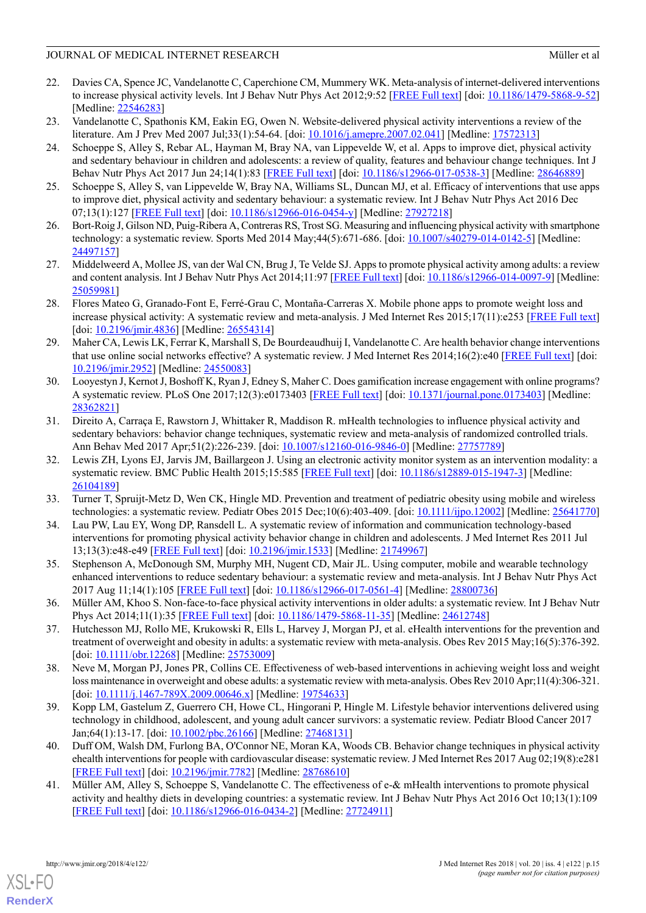- 22. Davies CA, Spence JC, Vandelanotte C, Caperchione CM, Mummery WK. Meta-analysis of internet-delivered interventions to increase physical activity levels. Int J Behav Nutr Phys Act 2012;9:52 [\[FREE Full text](http://www.ijbnpa.org/content/9//52)] [doi: [10.1186/1479-5868-9-52](http://dx.doi.org/10.1186/1479-5868-9-52)] [Medline: [22546283](http://www.ncbi.nlm.nih.gov/entrez/query.fcgi?cmd=Retrieve&db=PubMed&list_uids=22546283&dopt=Abstract)]
- <span id="page-14-1"></span><span id="page-14-0"></span>23. Vandelanotte C, Spathonis KM, Eakin EG, Owen N. Website-delivered physical activity interventions a review of the literature. Am J Prev Med 2007 Jul;33(1):54-64. [doi: [10.1016/j.amepre.2007.02.041\]](http://dx.doi.org/10.1016/j.amepre.2007.02.041) [Medline: [17572313](http://www.ncbi.nlm.nih.gov/entrez/query.fcgi?cmd=Retrieve&db=PubMed&list_uids=17572313&dopt=Abstract)]
- 24. Schoeppe S, Alley S, Rebar AL, Hayman M, Bray NA, van Lippevelde W, et al. Apps to improve diet, physical activity and sedentary behaviour in children and adolescents: a review of quality, features and behaviour change techniques. Int J Behav Nutr Phys Act 2017 Jun 24;14(1):83 [\[FREE Full text\]](https://ijbnpa.biomedcentral.com/articles/10.1186/s12966-017-0538-3) [doi: [10.1186/s12966-017-0538-3\]](http://dx.doi.org/10.1186/s12966-017-0538-3) [Medline: [28646889](http://www.ncbi.nlm.nih.gov/entrez/query.fcgi?cmd=Retrieve&db=PubMed&list_uids=28646889&dopt=Abstract)]
- 25. Schoeppe S, Alley S, van Lippevelde W, Bray NA, Williams SL, Duncan MJ, et al. Efficacy of interventions that use apps to improve diet, physical activity and sedentary behaviour: a systematic review. Int J Behav Nutr Phys Act 2016 Dec 07;13(1):127 [[FREE Full text](https://ijbnpa.biomedcentral.com/articles/10.1186/s12966-016-0454-y)] [doi: [10.1186/s12966-016-0454-y](http://dx.doi.org/10.1186/s12966-016-0454-y)] [Medline: [27927218\]](http://www.ncbi.nlm.nih.gov/entrez/query.fcgi?cmd=Retrieve&db=PubMed&list_uids=27927218&dopt=Abstract)
- 26. Bort-Roig J, Gilson ND, Puig-Ribera A, Contreras RS, Trost SG. Measuring and influencing physical activity with smartphone technology: a systematic review. Sports Med 2014 May;44(5):671-686. [doi: [10.1007/s40279-014-0142-5](http://dx.doi.org/10.1007/s40279-014-0142-5)] [Medline: [24497157](http://www.ncbi.nlm.nih.gov/entrez/query.fcgi?cmd=Retrieve&db=PubMed&list_uids=24497157&dopt=Abstract)]
- <span id="page-14-2"></span>27. Middelweerd A, Mollee JS, van der Wal CN, Brug J, Te Velde SJ. Apps to promote physical activity among adults: a review and content analysis. Int J Behav Nutr Phys Act 2014;11:97 [[FREE Full text\]](http://www.ijbnpa.org/content/11//97) [doi: [10.1186/s12966-014-0097-9\]](http://dx.doi.org/10.1186/s12966-014-0097-9) [Medline: [25059981](http://www.ncbi.nlm.nih.gov/entrez/query.fcgi?cmd=Retrieve&db=PubMed&list_uids=25059981&dopt=Abstract)]
- <span id="page-14-3"></span>28. Flores Mateo G, Granado-Font E, Ferré-Grau C, Montaña-Carreras X. Mobile phone apps to promote weight loss and increase physical activity: A systematic review and meta-analysis. J Med Internet Res 2015;17(11):e253 [[FREE Full text](http://www.jmir.org/2015/11/e253/)] [doi: [10.2196/jmir.4836\]](http://dx.doi.org/10.2196/jmir.4836) [Medline: [26554314\]](http://www.ncbi.nlm.nih.gov/entrez/query.fcgi?cmd=Retrieve&db=PubMed&list_uids=26554314&dopt=Abstract)
- <span id="page-14-4"></span>29. Maher CA, Lewis LK, Ferrar K, Marshall S, De Bourdeaudhuij I, Vandelanotte C. Are health behavior change interventions that use online social networks effective? A systematic review. J Med Internet Res 2014;16(2):e40 [[FREE Full text\]](http://www.jmir.org/2014/2/e40/) [doi: [10.2196/jmir.2952](http://dx.doi.org/10.2196/jmir.2952)] [Medline: [24550083](http://www.ncbi.nlm.nih.gov/entrez/query.fcgi?cmd=Retrieve&db=PubMed&list_uids=24550083&dopt=Abstract)]
- <span id="page-14-5"></span>30. Looyestyn J, Kernot J, Boshoff K, Ryan J, Edney S, Maher C. Does gamification increase engagement with online programs? A systematic review. PLoS One 2017;12(3):e0173403 [[FREE Full text](http://dx.plos.org/10.1371/journal.pone.0173403)] [doi: [10.1371/journal.pone.0173403](http://dx.doi.org/10.1371/journal.pone.0173403)] [Medline: [28362821](http://www.ncbi.nlm.nih.gov/entrez/query.fcgi?cmd=Retrieve&db=PubMed&list_uids=28362821&dopt=Abstract)]
- <span id="page-14-6"></span>31. Direito A, Carraça E, Rawstorn J, Whittaker R, Maddison R. mHealth technologies to influence physical activity and sedentary behaviors: behavior change techniques, systematic review and meta-analysis of randomized controlled trials. Ann Behav Med 2017 Apr;51(2):226-239. [doi: [10.1007/s12160-016-9846-0](http://dx.doi.org/10.1007/s12160-016-9846-0)] [Medline: [27757789\]](http://www.ncbi.nlm.nih.gov/entrez/query.fcgi?cmd=Retrieve&db=PubMed&list_uids=27757789&dopt=Abstract)
- <span id="page-14-8"></span><span id="page-14-7"></span>32. Lewis ZH, Lyons EJ, Jarvis JM, Baillargeon J. Using an electronic activity monitor system as an intervention modality: a systematic review. BMC Public Health 2015;15:585 [[FREE Full text](http://www.biomedcentral.com/1471-2458/15/585)] [doi: [10.1186/s12889-015-1947-3](http://dx.doi.org/10.1186/s12889-015-1947-3)] [Medline: [26104189](http://www.ncbi.nlm.nih.gov/entrez/query.fcgi?cmd=Retrieve&db=PubMed&list_uids=26104189&dopt=Abstract)]
- <span id="page-14-9"></span>33. Turner T, Spruijt-Metz D, Wen CK, Hingle MD. Prevention and treatment of pediatric obesity using mobile and wireless technologies: a systematic review. Pediatr Obes 2015 Dec;10(6):403-409. [doi: [10.1111/ijpo.12002\]](http://dx.doi.org/10.1111/ijpo.12002) [Medline: [25641770](http://www.ncbi.nlm.nih.gov/entrez/query.fcgi?cmd=Retrieve&db=PubMed&list_uids=25641770&dopt=Abstract)]
- <span id="page-14-10"></span>34. Lau PW, Lau EY, Wong DP, Ransdell L. A systematic review of information and communication technology-based interventions for promoting physical activity behavior change in children and adolescents. J Med Internet Res 2011 Jul 13;13(3):e48-e49 [[FREE Full text](http://www.jmir.org/2011/3/e48/)] [doi: [10.2196/jmir.1533](http://dx.doi.org/10.2196/jmir.1533)] [Medline: [21749967](http://www.ncbi.nlm.nih.gov/entrez/query.fcgi?cmd=Retrieve&db=PubMed&list_uids=21749967&dopt=Abstract)]
- <span id="page-14-11"></span>35. Stephenson A, McDonough SM, Murphy MH, Nugent CD, Mair JL. Using computer, mobile and wearable technology enhanced interventions to reduce sedentary behaviour: a systematic review and meta-analysis. Int J Behav Nutr Phys Act 2017 Aug 11;14(1):105 [\[FREE Full text\]](https://ijbnpa.biomedcentral.com/articles/10.1186/s12966-017-0561-4) [doi: [10.1186/s12966-017-0561-4\]](http://dx.doi.org/10.1186/s12966-017-0561-4) [Medline: [28800736\]](http://www.ncbi.nlm.nih.gov/entrez/query.fcgi?cmd=Retrieve&db=PubMed&list_uids=28800736&dopt=Abstract)
- <span id="page-14-12"></span>36. Müller AM, Khoo S. Non-face-to-face physical activity interventions in older adults: a systematic review. Int J Behav Nutr Phys Act 2014;11(1):35 [\[FREE Full text](http://www.ijbnpa.org/content/11/1/35)] [doi: [10.1186/1479-5868-11-35](http://dx.doi.org/10.1186/1479-5868-11-35)] [Medline: [24612748\]](http://www.ncbi.nlm.nih.gov/entrez/query.fcgi?cmd=Retrieve&db=PubMed&list_uids=24612748&dopt=Abstract)
- <span id="page-14-13"></span>37. Hutchesson MJ, Rollo ME, Krukowski R, Ells L, Harvey J, Morgan PJ, et al. eHealth interventions for the prevention and treatment of overweight and obesity in adults: a systematic review with meta-analysis. Obes Rev 2015 May;16(5):376-392. [doi: [10.1111/obr.12268](http://dx.doi.org/10.1111/obr.12268)] [Medline: [25753009](http://www.ncbi.nlm.nih.gov/entrez/query.fcgi?cmd=Retrieve&db=PubMed&list_uids=25753009&dopt=Abstract)]
- <span id="page-14-14"></span>38. Neve M, Morgan PJ, Jones PR, Collins CE. Effectiveness of web-based interventions in achieving weight loss and weight loss maintenance in overweight and obese adults: a systematic review with meta-analysis. Obes Rev 2010 Apr;11(4):306-321. [doi: [10.1111/j.1467-789X.2009.00646.x](http://dx.doi.org/10.1111/j.1467-789X.2009.00646.x)] [Medline: [19754633](http://www.ncbi.nlm.nih.gov/entrez/query.fcgi?cmd=Retrieve&db=PubMed&list_uids=19754633&dopt=Abstract)]
- <span id="page-14-15"></span>39. Kopp LM, Gastelum Z, Guerrero CH, Howe CL, Hingorani P, Hingle M. Lifestyle behavior interventions delivered using technology in childhood, adolescent, and young adult cancer survivors: a systematic review. Pediatr Blood Cancer 2017 Jan;64(1):13-17. [doi: [10.1002/pbc.26166\]](http://dx.doi.org/10.1002/pbc.26166) [Medline: [27468131\]](http://www.ncbi.nlm.nih.gov/entrez/query.fcgi?cmd=Retrieve&db=PubMed&list_uids=27468131&dopt=Abstract)
- 40. Duff OM, Walsh DM, Furlong BA, O'Connor NE, Moran KA, Woods CB. Behavior change techniques in physical activity ehealth interventions for people with cardiovascular disease: systematic review. J Med Internet Res 2017 Aug 02;19(8):e281 [[FREE Full text](http://www.jmir.org/2017/8/e281/)] [doi: [10.2196/jmir.7782](http://dx.doi.org/10.2196/jmir.7782)] [Medline: [28768610](http://www.ncbi.nlm.nih.gov/entrez/query.fcgi?cmd=Retrieve&db=PubMed&list_uids=28768610&dopt=Abstract)]
- 41. Müller AM, Alley S, Schoeppe S, Vandelanotte C. The effectiveness of e-& mHealth interventions to promote physical activity and healthy diets in developing countries: a systematic review. Int J Behav Nutr Phys Act 2016 Oct 10;13(1):109 [[FREE Full text](https://ijbnpa.biomedcentral.com/articles/10.1186/s12966-016-0434-2)] [doi: [10.1186/s12966-016-0434-2](http://dx.doi.org/10.1186/s12966-016-0434-2)] [Medline: [27724911\]](http://www.ncbi.nlm.nih.gov/entrez/query.fcgi?cmd=Retrieve&db=PubMed&list_uids=27724911&dopt=Abstract)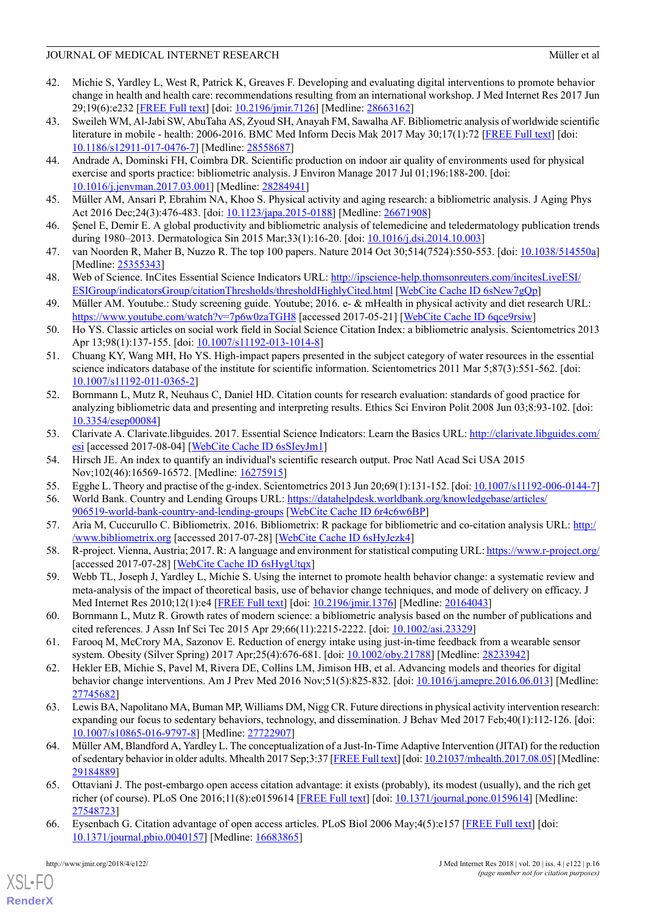- <span id="page-15-0"></span>42. Michie S, Yardley L, West R, Patrick K, Greaves F. Developing and evaluating digital interventions to promote behavior change in health and health care: recommendations resulting from an international workshop. J Med Internet Res 2017 Jun 29;19(6):e232 [[FREE Full text\]](http://www.jmir.org/2017/6/e232/) [doi: [10.2196/jmir.7126](http://dx.doi.org/10.2196/jmir.7126)] [Medline: [28663162](http://www.ncbi.nlm.nih.gov/entrez/query.fcgi?cmd=Retrieve&db=PubMed&list_uids=28663162&dopt=Abstract)]
- <span id="page-15-1"></span>43. Sweileh WM, Al-Jabi SW, AbuTaha AS, Zyoud SH, Anayah FM, Sawalha AF. Bibliometric analysis of worldwide scientific literature in mobile - health: 2006-2016. BMC Med Inform Decis Mak 2017 May 30;17(1):72 [[FREE Full text](https://bmcmedinformdecismak.biomedcentral.com/articles/10.1186/s12911-017-0476-7)] [doi: [10.1186/s12911-017-0476-7\]](http://dx.doi.org/10.1186/s12911-017-0476-7) [Medline: [28558687\]](http://www.ncbi.nlm.nih.gov/entrez/query.fcgi?cmd=Retrieve&db=PubMed&list_uids=28558687&dopt=Abstract)
- 44. Andrade A, Dominski FH, Coimbra DR. Scientific production on indoor air quality of environments used for physical exercise and sports practice: bibliometric analysis. J Environ Manage 2017 Jul 01;196:188-200. [doi: [10.1016/j.jenvman.2017.03.001\]](http://dx.doi.org/10.1016/j.jenvman.2017.03.001) [Medline: [28284941\]](http://www.ncbi.nlm.nih.gov/entrez/query.fcgi?cmd=Retrieve&db=PubMed&list_uids=28284941&dopt=Abstract)
- 45. Müller AM, Ansari P, Ebrahim NA, Khoo S. Physical activity and aging research: a bibliometric analysis. J Aging Phys Act 2016 Dec;24(3):476-483. [doi: [10.1123/japa.2015-0188](http://dx.doi.org/10.1123/japa.2015-0188)] [Medline: [26671908\]](http://www.ncbi.nlm.nih.gov/entrez/query.fcgi?cmd=Retrieve&db=PubMed&list_uids=26671908&dopt=Abstract)
- <span id="page-15-2"></span>46. Şenel E, Demir E. A global productivity and bibliometric analysis of telemedicine and teledermatology publication trends during 1980–2013. Dermatologica Sin 2015 Mar;33(1):16-20. [doi: [10.1016/j.dsi.2014.10.003\]](http://dx.doi.org/10.1016/j.dsi.2014.10.003)
- <span id="page-15-3"></span>47. van Noorden R, Maher B, Nuzzo R. The top 100 papers. Nature 2014 Oct 30;514(7524):550-553. [doi: [10.1038/514550a](http://dx.doi.org/10.1038/514550a)] [Medline: [25355343](http://www.ncbi.nlm.nih.gov/entrez/query.fcgi?cmd=Retrieve&db=PubMed&list_uids=25355343&dopt=Abstract)]
- <span id="page-15-4"></span>48. Web of Science. InCites Essential Science Indicators URL: [http://ipscience-help.thomsonreuters.com/incitesLiveESI/](http://ipscience-help.thomsonreuters.com/incitesLiveESI/ESIGroup/indicatorsGroup/citationThresholds/thresholdHighlyCited.html) [ESIGroup/indicatorsGroup/citationThresholds/thresholdHighlyCited.html](http://ipscience-help.thomsonreuters.com/incitesLiveESI/ESIGroup/indicatorsGroup/citationThresholds/thresholdHighlyCited.html) [[WebCite Cache ID 6sNew7gQp\]](http://www.webcitation.org/6sNew7gQp)
- <span id="page-15-5"></span>49. Müller AM. Youtube.: Study screening guide. Youtube; 2016. e- & mHealth in physical activity and diet research URL: <https://www.youtube.com/watch?v=7p6w0zaTGH8> [accessed 2017-05-21] [\[WebCite Cache ID 6qce9rsiw\]](http://www.webcitation.org/6qce9rsiw)
- <span id="page-15-6"></span>50. Ho YS. Classic articles on social work field in Social Science Citation Index: a bibliometric analysis. Scientometrics 2013 Apr 13;98(1):137-155. [doi: [10.1007/s11192-013-1014-8\]](http://dx.doi.org/10.1007/s11192-013-1014-8)
- <span id="page-15-7"></span>51. Chuang KY, Wang MH, Ho YS. High-impact papers presented in the subject category of water resources in the essential science indicators database of the institute for scientific information. Scientometrics 2011 Mar 5;87(3):551-562. [doi: [10.1007/s11192-011-0365-2\]](http://dx.doi.org/10.1007/s11192-011-0365-2)
- <span id="page-15-8"></span>52. Bornmann L, Mutz R, Neuhaus C, Daniel HD. Citation counts for research evaluation: standards of good practice for analyzing bibliometric data and presenting and interpreting results. Ethics Sci Environ Polit 2008 Jun 03;8:93-102. [doi: [10.3354/esep00084](http://dx.doi.org/10.3354/esep00084)]
- <span id="page-15-10"></span><span id="page-15-9"></span>53. Clarivate A. Clarivate.libguides. 2017. Essential Science Indicators: Learn the Basics URL: [http://clarivate.libguides.com/](http://clarivate.libguides.com/esi) [esi](http://clarivate.libguides.com/esi) [accessed 2017-08-04] [[WebCite Cache ID 6sSIeyJm1](http://www.webcitation.org/6sSIeyJm1)]
- <span id="page-15-11"></span>54. Hirsch JE. An index to quantify an individual's scientific research output. Proc Natl Acad Sci USA 2015 Nov;102(46):16569-16572. [Medline: [16275915](http://www.ncbi.nlm.nih.gov/entrez/query.fcgi?cmd=Retrieve&db=PubMed&list_uids=16275915&dopt=Abstract)]
- <span id="page-15-12"></span>55. Egghe L. Theory and practise of the g-index. Scientometrics 2013 Jun 20;69(1):131-152. [doi: [10.1007/s11192-006-0144-7\]](http://dx.doi.org/10.1007/s11192-006-0144-7)
- <span id="page-15-13"></span>56. World Bank. Country and Lending Groups URL: [https://datahelpdesk.worldbank.org/knowledgebase/articles/](https://datahelpdesk.worldbank.org/knowledgebase/articles/906519-world-bank-country-and-lending-groups) [906519-world-bank-country-and-lending-groups](https://datahelpdesk.worldbank.org/knowledgebase/articles/906519-world-bank-country-and-lending-groups) [\[WebCite Cache ID 6r4c6w6BP](http://www.webcitation.org/6r4c6w6BP)]
- <span id="page-15-14"></span>57. Aria M, Cuccurullo C. Bibliometrix. 2016. Bibliometrix: R package for bibliometric and co-citation analysis URL: [http:/](http://www.bibliometrix.org) [/www.bibliometrix.org](http://www.bibliometrix.org) [accessed 2017-07-28] [[WebCite Cache ID 6sHyJezk4](http://www.webcitation.org/6sHyJezk4)]
- <span id="page-15-15"></span>58. R-project. Vienna, Austria; 2017. R: A language and environment for statistical computing URL:<https://www.r-project.org/> [accessed 2017-07-28] [\[WebCite Cache ID 6sHygUtqx\]](http://www.webcitation.org/6sHygUtqx)
- <span id="page-15-16"></span>59. Webb TL, Joseph J, Yardley L, Michie S. Using the internet to promote health behavior change: a systematic review and meta-analysis of the impact of theoretical basis, use of behavior change techniques, and mode of delivery on efficacy. J Med Internet Res 2010;12(1):e4 [[FREE Full text](http://www.jmir.org/2010/1/e4/)] [doi: [10.2196/jmir.1376](http://dx.doi.org/10.2196/jmir.1376)] [Medline: [20164043](http://www.ncbi.nlm.nih.gov/entrez/query.fcgi?cmd=Retrieve&db=PubMed&list_uids=20164043&dopt=Abstract)]
- 60. Bornmann L, Mutz R. Growth rates of modern science: a bibliometric analysis based on the number of publications and cited references. J Assn Inf Sci Tec 2015 Apr 29;66(11):2215-2222. [doi: [10.1002/asi.23329\]](http://dx.doi.org/10.1002/asi.23329)
- 61. Farooq M, McCrory MA, Sazonov E. Reduction of energy intake using just-in-time feedback from a wearable sensor system. Obesity (Silver Spring) 2017 Apr;25(4):676-681. [doi: [10.1002/oby.21788](http://dx.doi.org/10.1002/oby.21788)] [Medline: [28233942\]](http://www.ncbi.nlm.nih.gov/entrez/query.fcgi?cmd=Retrieve&db=PubMed&list_uids=28233942&dopt=Abstract)
- <span id="page-15-17"></span>62. Hekler EB, Michie S, Pavel M, Rivera DE, Collins LM, Jimison HB, et al. Advancing models and theories for digital behavior change interventions. Am J Prev Med 2016 Nov;51(5):825-832. [doi: [10.1016/j.amepre.2016.06.013](http://dx.doi.org/10.1016/j.amepre.2016.06.013)] [Medline: [27745682](http://www.ncbi.nlm.nih.gov/entrez/query.fcgi?cmd=Retrieve&db=PubMed&list_uids=27745682&dopt=Abstract)]
- <span id="page-15-18"></span>63. Lewis BA, Napolitano MA, Buman MP, Williams DM, Nigg CR. Future directions in physical activity intervention research: expanding our focus to sedentary behaviors, technology, and dissemination. J Behav Med 2017 Feb;40(1):112-126. [doi: [10.1007/s10865-016-9797-8\]](http://dx.doi.org/10.1007/s10865-016-9797-8) [Medline: [27722907](http://www.ncbi.nlm.nih.gov/entrez/query.fcgi?cmd=Retrieve&db=PubMed&list_uids=27722907&dopt=Abstract)]
- <span id="page-15-19"></span>64. Müller AM, Blandford A, Yardley L. The conceptualization of a Just-In-Time Adaptive Intervention (JITAI) for the reduction of sedentary behavior in older adults. Mhealth 2017 Sep;3:37 [[FREE Full text\]](http://dx.doi.org/10.21037/mhealth.2017.08.05) [doi: [10.21037/mhealth.2017.08.05\]](http://dx.doi.org/10.21037/mhealth.2017.08.05) [Medline: [29184889](http://www.ncbi.nlm.nih.gov/entrez/query.fcgi?cmd=Retrieve&db=PubMed&list_uids=29184889&dopt=Abstract)]
- 65. Ottaviani J. The post-embargo open access citation advantage: it exists (probably), its modest (usually), and the rich get richer (of course). PLoS One 2016;11(8):e0159614 [[FREE Full text](http://dx.plos.org/10.1371/journal.pone.0159614)] [doi: [10.1371/journal.pone.0159614\]](http://dx.doi.org/10.1371/journal.pone.0159614) [Medline: [27548723](http://www.ncbi.nlm.nih.gov/entrez/query.fcgi?cmd=Retrieve&db=PubMed&list_uids=27548723&dopt=Abstract)]
- 66. Eysenbach G. Citation advantage of open access articles. PLoS Biol 2006 May;4(5):e157 [[FREE Full text\]](http://dx.plos.org/10.1371/journal.pbio.0040157) [doi: [10.1371/journal.pbio.0040157\]](http://dx.doi.org/10.1371/journal.pbio.0040157) [Medline: [16683865\]](http://www.ncbi.nlm.nih.gov/entrez/query.fcgi?cmd=Retrieve&db=PubMed&list_uids=16683865&dopt=Abstract)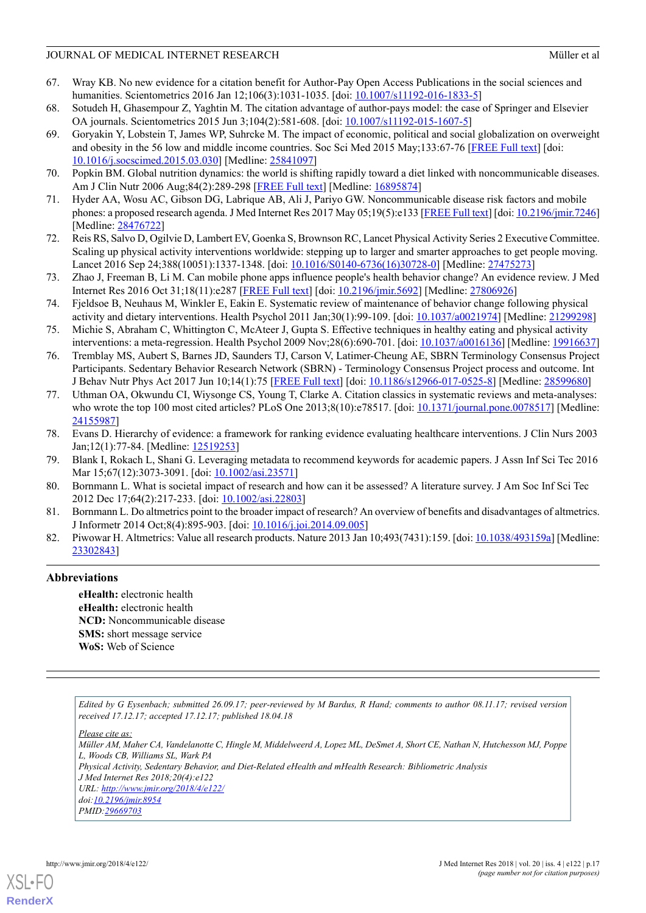#### JOURNAL OF MEDICAL INTERNET RESEARCH MÜLLER CONSUMING THE MULLER OF MULLER OF MULLER AT A MULLER OF MULLER OF MULLER OF A LOCAL CONSUMING A LOCAL CONSUMING THE SECOND MULLER OF MULLER OF MULLER OF MULLER OF MULLER OF MULLE

- <span id="page-16-0"></span>67. Wray KB. No new evidence for a citation benefit for Author-Pay Open Access Publications in the social sciences and humanities. Scientometrics 2016 Jan 12;106(3):1031-1035. [doi: [10.1007/s11192-016-1833-5\]](http://dx.doi.org/10.1007/s11192-016-1833-5)
- <span id="page-16-2"></span><span id="page-16-1"></span>68. Sotudeh H, Ghasempour Z, Yaghtin M. The citation advantage of author-pays model: the case of Springer and Elsevier OA journals. Scientometrics 2015 Jun 3;104(2):581-608. [doi: [10.1007/s11192-015-1607-5\]](http://dx.doi.org/10.1007/s11192-015-1607-5)
- 69. Goryakin Y, Lobstein T, James WP, Suhrcke M. The impact of economic, political and social globalization on overweight and obesity in the 56 low and middle income countries. Soc Sci Med 2015 May;133:67-76 [\[FREE Full text](https://linkinghub.elsevier.com/retrieve/pii/S0277-9536(15)00174-4)] [doi: [10.1016/j.socscimed.2015.03.030](http://dx.doi.org/10.1016/j.socscimed.2015.03.030)] [Medline: [25841097\]](http://www.ncbi.nlm.nih.gov/entrez/query.fcgi?cmd=Retrieve&db=PubMed&list_uids=25841097&dopt=Abstract)
- <span id="page-16-4"></span><span id="page-16-3"></span>70. Popkin BM. Global nutrition dynamics: the world is shifting rapidly toward a diet linked with noncommunicable diseases. Am J Clin Nutr 2006 Aug;84(2):289-298 [\[FREE Full text\]](http://www.ajcn.org/cgi/pmidlookup?view=long&pmid=16895874) [Medline: [16895874](http://www.ncbi.nlm.nih.gov/entrez/query.fcgi?cmd=Retrieve&db=PubMed&list_uids=16895874&dopt=Abstract)]
- <span id="page-16-5"></span>71. Hyder AA, Wosu AC, Gibson DG, Labrique AB, Ali J, Pariyo GW. Noncommunicable disease risk factors and mobile phones: a proposed research agenda. J Med Internet Res 2017 May 05;19(5):e133 [\[FREE Full text](http://www.jmir.org/2017/5/e133/)] [doi: [10.2196/jmir.7246\]](http://dx.doi.org/10.2196/jmir.7246) [Medline: [28476722](http://www.ncbi.nlm.nih.gov/entrez/query.fcgi?cmd=Retrieve&db=PubMed&list_uids=28476722&dopt=Abstract)]
- <span id="page-16-6"></span>72. Reis RS, Salvo D, Ogilvie D, Lambert EV, Goenka S, Brownson RC, Lancet Physical Activity Series 2 Executive Committee. Scaling up physical activity interventions worldwide: stepping up to larger and smarter approaches to get people moving. Lancet 2016 Sep 24;388(10051):1337-1348. [doi: [10.1016/S0140-6736\(16\)30728-0](http://dx.doi.org/10.1016/S0140-6736(16)30728-0)] [Medline: [27475273\]](http://www.ncbi.nlm.nih.gov/entrez/query.fcgi?cmd=Retrieve&db=PubMed&list_uids=27475273&dopt=Abstract)
- <span id="page-16-7"></span>73. Zhao J, Freeman B, Li M. Can mobile phone apps influence people's health behavior change? An evidence review. J Med Internet Res 2016 Oct 31;18(11):e287 [\[FREE Full text\]](http://www.jmir.org/2016/11/e287/) [doi: [10.2196/jmir.5692\]](http://dx.doi.org/10.2196/jmir.5692) [Medline: [27806926](http://www.ncbi.nlm.nih.gov/entrez/query.fcgi?cmd=Retrieve&db=PubMed&list_uids=27806926&dopt=Abstract)]
- <span id="page-16-8"></span>74. Fjeldsoe B, Neuhaus M, Winkler E, Eakin E. Systematic review of maintenance of behavior change following physical activity and dietary interventions. Health Psychol 2011 Jan;30(1):99-109. [doi: [10.1037/a0021974\]](http://dx.doi.org/10.1037/a0021974) [Medline: [21299298](http://www.ncbi.nlm.nih.gov/entrez/query.fcgi?cmd=Retrieve&db=PubMed&list_uids=21299298&dopt=Abstract)]
- <span id="page-16-9"></span>75. Michie S, Abraham C, Whittington C, McAteer J, Gupta S. Effective techniques in healthy eating and physical activity interventions: a meta-regression. Health Psychol 2009 Nov;28(6):690-701. [doi: [10.1037/a0016136](http://dx.doi.org/10.1037/a0016136)] [Medline: [19916637](http://www.ncbi.nlm.nih.gov/entrez/query.fcgi?cmd=Retrieve&db=PubMed&list_uids=19916637&dopt=Abstract)]
- <span id="page-16-10"></span>76. Tremblay MS, Aubert S, Barnes JD, Saunders TJ, Carson V, Latimer-Cheung AE, SBRN Terminology Consensus Project Participants. Sedentary Behavior Research Network (SBRN) - Terminology Consensus Project process and outcome. Int J Behav Nutr Phys Act 2017 Jun 10;14(1):75 [\[FREE Full text](https://ijbnpa.biomedcentral.com/articles/10.1186/s12966-017-0525-8)] [doi: [10.1186/s12966-017-0525-8](http://dx.doi.org/10.1186/s12966-017-0525-8)] [Medline: [28599680\]](http://www.ncbi.nlm.nih.gov/entrez/query.fcgi?cmd=Retrieve&db=PubMed&list_uids=28599680&dopt=Abstract)
- <span id="page-16-12"></span><span id="page-16-11"></span>77. Uthman OA, Okwundu CI, Wiysonge CS, Young T, Clarke A. Citation classics in systematic reviews and meta-analyses: who wrote the top 100 most cited articles? PLoS One 2013;8(10):e78517. [doi: [10.1371/journal.pone.0078517\]](http://dx.doi.org/10.1371/journal.pone.0078517) [Medline: [24155987](http://www.ncbi.nlm.nih.gov/entrez/query.fcgi?cmd=Retrieve&db=PubMed&list_uids=24155987&dopt=Abstract)]
- <span id="page-16-13"></span>78. Evans D. Hierarchy of evidence: a framework for ranking evidence evaluating healthcare interventions. J Clin Nurs 2003 Jan;12(1):77-84. [Medline: [12519253](http://www.ncbi.nlm.nih.gov/entrez/query.fcgi?cmd=Retrieve&db=PubMed&list_uids=12519253&dopt=Abstract)]
- <span id="page-16-14"></span>79. Blank I, Rokach L, Shani G. Leveraging metadata to recommend keywords for academic papers. J Assn Inf Sci Tec 2016 Mar 15;67(12):3073-3091. [doi: [10.1002/asi.23571](http://dx.doi.org/10.1002/asi.23571)]
- <span id="page-16-15"></span>80. Bornmann L. What is societal impact of research and how can it be assessed? A literature survey. J Am Soc Inf Sci Tec 2012 Dec 17;64(2):217-233. [doi: [10.1002/asi.22803](http://dx.doi.org/10.1002/asi.22803)]
- 81. Bornmann L. Do altmetrics point to the broader impact of research? An overview of benefits and disadvantages of altmetrics. J Informetr 2014 Oct;8(4):895-903. [doi: [10.1016/j.joi.2014.09.005](http://dx.doi.org/10.1016/j.joi.2014.09.005)]
- 82. Piwowar H. Altmetrics: Value all research products. Nature 2013 Jan 10;493(7431):159. [doi: [10.1038/493159a\]](http://dx.doi.org/10.1038/493159a) [Medline: [23302843](http://www.ncbi.nlm.nih.gov/entrez/query.fcgi?cmd=Retrieve&db=PubMed&list_uids=23302843&dopt=Abstract)]

### **Abbreviations**

**eHealth:** electronic health **eHealth:** electronic health **NCD:** Noncommunicable disease **SMS:** short message service **WoS:** Web of Science

*Edited by G Eysenbach; submitted 26.09.17; peer-reviewed by M Bardus, R Hand; comments to author 08.11.17; revised version received 17.12.17; accepted 17.12.17; published 18.04.18*

*Please cite as:*

*Müller AM, Maher CA, Vandelanotte C, Hingle M, Middelweerd A, Lopez ML, DeSmet A, Short CE, Nathan N, Hutchesson MJ, Poppe L, Woods CB, Williams SL, Wark PA*

*Physical Activity, Sedentary Behavior, and Diet-Related eHealth and mHealth Research: Bibliometric Analysis J Med Internet Res 2018;20(4):e122*

*URL: <http://www.jmir.org/2018/4/e122/>*

*doi[:10.2196/jmir.8954](http://dx.doi.org/10.2196/jmir.8954) PMID:[29669703](http://www.ncbi.nlm.nih.gov/entrez/query.fcgi?cmd=Retrieve&db=PubMed&list_uids=29669703&dopt=Abstract)*